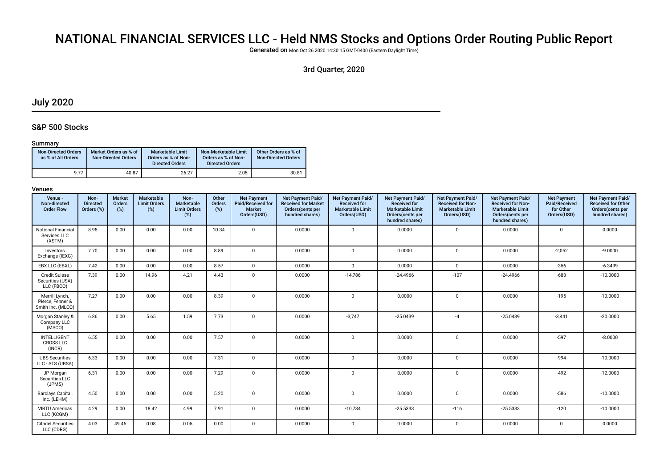# NATIONAL FINANCIAL SERVICES LLC - Held NMS Stocks and Options Order Routing Public Report

Generated on Mon Oct 26 2020 14:30:15 GMT-0400 (Eastern Daylight Time)

# 3rd Quarter, 2020

# July 2020

# S&P 500 Stocks

### Summary

| <b>Non-Directed Orders</b><br>as % of All Orders | Market Orders as % of<br><b>Non-Directed Orders</b> | Marketable Limit<br>Orders as % of Non-<br><b>Directed Orders</b> | Non-Marketable Limit<br>Orders as % of Non-<br><b>Directed Orders</b> | Other Orders as % of<br><b>Non-Directed Orders</b> |
|--------------------------------------------------|-----------------------------------------------------|-------------------------------------------------------------------|-----------------------------------------------------------------------|----------------------------------------------------|
| 9.77                                             | 40.87                                               | 26.27                                                             | 2.05                                                                  | 30.81                                              |

| Venue -<br>Non-directed<br><b>Order Flow</b>            | Non-<br><b>Directed</b><br>Orders (%) | <b>Market</b><br>Orders<br>(%) | Marketable<br><b>Limit Orders</b><br>(%) | Non-<br>Marketable<br><b>Limit Orders</b><br>(%) | Other<br>Orders<br>(%) | <b>Net Payment</b><br>Paid/Received for<br><b>Market</b><br>Orders(USD) | Net Payment Paid/<br><b>Received for Market</b><br>Orders(cents per<br>hundred shares) | Net Payment Paid/<br><b>Received for</b><br><b>Marketable Limit</b><br>Orders(USD) | Net Payment Paid/<br><b>Received for</b><br><b>Marketable Limit</b><br>Orders(cents per<br>hundred shares) | Net Payment Paid/<br><b>Received for Non-</b><br><b>Marketable Limit</b><br>Orders(USD) | Net Payment Paid/<br><b>Received for Non-</b><br><b>Marketable Limit</b><br>Orders(cents per<br>hundred shares) | <b>Net Payment</b><br>Paid/Received<br>for Other<br>Orders(USD) | Net Payment Paid/<br><b>Received for Other</b><br>Orders(cents per<br>hundred shares) |
|---------------------------------------------------------|---------------------------------------|--------------------------------|------------------------------------------|--------------------------------------------------|------------------------|-------------------------------------------------------------------------|----------------------------------------------------------------------------------------|------------------------------------------------------------------------------------|------------------------------------------------------------------------------------------------------------|-----------------------------------------------------------------------------------------|-----------------------------------------------------------------------------------------------------------------|-----------------------------------------------------------------|---------------------------------------------------------------------------------------|
| <b>National Financial</b><br>Services LLC<br>(XSTM)     | 8.95                                  | 0.00                           | 0.00                                     | 0.00                                             | 10.34                  | $\Omega$                                                                | 0.0000                                                                                 | $\Omega$                                                                           | 0.0000                                                                                                     | $\mathbf{0}$                                                                            | 0.0000                                                                                                          | $\mathbf 0$                                                     | 0.0000                                                                                |
| Investors<br>Exchange (IEXG)                            | 7.70                                  | 0.00                           | 0.00                                     | 0.00                                             | 8.89                   | $\mathbf 0$                                                             | 0.0000                                                                                 | $\mathbf 0$                                                                        | 0.0000                                                                                                     | 0                                                                                       | 0.0000                                                                                                          | $-2,052$                                                        | $-9.0000$                                                                             |
| EBX LLC (EBXL)                                          | 7.42                                  | 0.00                           | 0.00                                     | 0.00                                             | 8.57                   | $\mathbf 0$                                                             | 0.0000                                                                                 | $\Omega$                                                                           | 0.0000                                                                                                     | $\Omega$                                                                                | 0.0000                                                                                                          | $-356$                                                          | $-6.3499$                                                                             |
| <b>Credit Suisse</b><br>Securities (USA)<br>LLC (FBCO)  | 7.39                                  | 0.00                           | 14.96                                    | 4.21                                             | 4.43                   | $\mathbf 0$                                                             | 0.0000                                                                                 | $-14,786$                                                                          | $-24.4966$                                                                                                 | $-107$                                                                                  | $-24.4966$                                                                                                      | $-683$                                                          | $-10.0000$                                                                            |
| Merrill Lynch,<br>Pierce, Fenner &<br>Smith Inc. (MLCO) | 7.27                                  | 0.00                           | 0.00                                     | 0.00                                             | 8.39                   | $\mathbf 0$                                                             | 0.0000                                                                                 | $\mathbf 0$                                                                        | 0.0000                                                                                                     | 0                                                                                       | 0.0000                                                                                                          | $-195$                                                          | $-10.0000$                                                                            |
| Morgan Stanley &<br>Company LLC<br>(MSCO)               | 6.86                                  | 0.00                           | 5.65                                     | 1.59                                             | 7.73                   | $\Omega$                                                                | 0.0000                                                                                 | $-3,747$                                                                           | $-25.0439$                                                                                                 | $-4$                                                                                    | $-25.0439$                                                                                                      | $-3,441$                                                        | $-20.0000$                                                                            |
| <b>INTELLIGENT</b><br><b>CROSS LLC</b><br>(INCR)        | 6.55                                  | 0.00                           | 0.00                                     | 0.00                                             | 7.57                   | $\Omega$                                                                | 0.0000                                                                                 | $\Omega$                                                                           | 0.0000                                                                                                     | $\Omega$                                                                                | 0.0000                                                                                                          | $-597$                                                          | $-8.0000$                                                                             |
| <b>UBS Securities</b><br>LLC - ATS (UBSA)               | 6.33                                  | 0.00                           | 0.00                                     | 0.00                                             | 7.31                   | $\mathbf{0}$                                                            | 0.0000                                                                                 | $\mathbf{0}$                                                                       | 0.0000                                                                                                     | 0                                                                                       | 0.0000                                                                                                          | -994                                                            | $-10.0000$                                                                            |
| JP Morgan<br>Securities LLC<br>(JPMS)                   | 6.31                                  | 0.00                           | 0.00                                     | 0.00                                             | 7.29                   | $\Omega$                                                                | 0.0000                                                                                 | $\Omega$                                                                           | 0.0000                                                                                                     | $\mathbf 0$                                                                             | 0.0000                                                                                                          | $-492$                                                          | $-12.0000$                                                                            |
| <b>Barclays Capital</b><br>Inc. (LEHM)                  | 4.50                                  | 0.00                           | 0.00                                     | 0.00                                             | 5.20                   | $\mathbf 0$                                                             | 0.0000                                                                                 | $\Omega$                                                                           | 0.0000                                                                                                     | 0                                                                                       | 0.0000                                                                                                          | $-586$                                                          | $-10.0000$                                                                            |
| <b>VIRTU Americas</b><br>LLC (KCGM)                     | 4.29                                  | 0.00                           | 18.42                                    | 4.99                                             | 7.91                   | $\mathbf 0$                                                             | 0.0000                                                                                 | $-10,734$                                                                          | $-25.5333$                                                                                                 | $-116$                                                                                  | $-25.5333$                                                                                                      | $-120$                                                          | $-10.0000$                                                                            |
| <b>Citadel Securities</b><br>LLC (CDRG)                 | 4.03                                  | 49.46                          | 0.08                                     | 0.05                                             | 0.00                   | $\mathbf 0$                                                             | 0.0000                                                                                 | $\mathbf 0$                                                                        | 0.0000                                                                                                     | $\mathbf 0$                                                                             | 0.0000                                                                                                          | $\mathbf 0$                                                     | 0.0000                                                                                |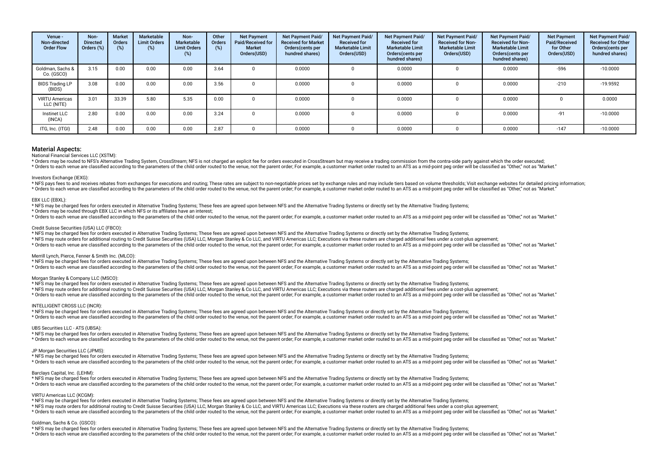| Venue -<br>Non-directed<br><b>Order Flow</b> | Non-<br><b>Directed</b><br>Orders (%) | Market<br>Orders<br>$(\%)$ | Marketable<br><b>Limit Orders</b><br>(%) | Non-<br>Marketable<br><b>Limit Orders</b><br>$(\%)$ | Other<br><b>Orders</b><br>(%) | <b>Net Payment</b><br>Paid/Received for<br><b>Market</b><br>Orders(USD) | <b>Net Payment Paid/</b><br><b>Received for Market</b><br>Orders(cents per<br>hundred shares) | <b>Net Payment Paid/</b><br><b>Received for</b><br><b>Marketable Limit</b><br>Orders(USD) | Net Payment Paid/<br><b>Received for</b><br><b>Marketable Limit</b><br>Orders (cents per<br>hundred shares) | Net Payment Paid/<br><b>Received for Non-</b><br><b>Marketable Limit</b><br>Orders(USD) | Net Payment Paid/<br><b>Received for Non-</b><br><b>Marketable Limit</b><br>Orders(cents per<br>hundred shares) | <b>Net Payment</b><br>Paid/Received<br>for Other<br>Orders(USD) | <b>Net Payment Paid/</b><br><b>Received for Other</b><br>Orders(cents per<br>hundred shares) |
|----------------------------------------------|---------------------------------------|----------------------------|------------------------------------------|-----------------------------------------------------|-------------------------------|-------------------------------------------------------------------------|-----------------------------------------------------------------------------------------------|-------------------------------------------------------------------------------------------|-------------------------------------------------------------------------------------------------------------|-----------------------------------------------------------------------------------------|-----------------------------------------------------------------------------------------------------------------|-----------------------------------------------------------------|----------------------------------------------------------------------------------------------|
| Goldman, Sachs &<br>Co. (GSCO)               | 3.15                                  | 0.00                       | 0.00                                     | 0.00                                                | 3.64                          |                                                                         | 0.0000                                                                                        |                                                                                           | 0.0000                                                                                                      |                                                                                         | 0.0000                                                                                                          | $-596$                                                          | $-10.0000$                                                                                   |
| <b>BIDS Trading LP</b><br>(BIDS)             | 3.08                                  | 0.00                       | 0.00                                     | 0.00                                                | 3.56                          |                                                                         | 0.0000                                                                                        |                                                                                           | 0.0000                                                                                                      |                                                                                         | 0.0000                                                                                                          | $-210$                                                          | $-19.9592$                                                                                   |
| <b>VIRTU Americas</b><br>LLC (NITE)          | 3.01                                  | 33.39                      | 5.80                                     | 5.35                                                | 0.00                          |                                                                         | 0.0000                                                                                        |                                                                                           | 0.0000                                                                                                      |                                                                                         | 0.0000                                                                                                          |                                                                 | 0.0000                                                                                       |
| Instinet LLC<br>(INCA)                       | 2.80                                  | 0.00                       | 0.00                                     | 0.00                                                | 3.24                          |                                                                         | 0.0000                                                                                        |                                                                                           | 0.0000                                                                                                      |                                                                                         | 0.0000                                                                                                          | $-91$                                                           | $-10.0000$                                                                                   |
| ITG, Inc. (ITGI)                             | 2.48                                  | 0.00                       | 0.00                                     | 0.00                                                | 2.87                          |                                                                         | 0.0000                                                                                        |                                                                                           | 0.0000                                                                                                      |                                                                                         | 0.0000                                                                                                          | $-147$                                                          | $-10.0000$                                                                                   |

#### National Financial Services LLC (XSTM):

\* Orders may be routed to NES's Alternative Trading System, CrossStream: NES is not charged an explicit fee for orders executed in CrossStream but may receive a trading commission from the contra-side party against which t refers to each venue are classified according to the parameters of the child order puted to the venue not the parent order. For example a customer market order puted to an ATS as a mid-point peq order will be classified as

#### Investors Exchange (IEXG):

\* NFS pays fees to and receives rebates from exchanges for executions and routing; These rates are subject to non-negotiable prices set by exchange rules and may include tiers based on volume thresholds; Visit exchange web \* Orders to each venue are classified according to the parameters of the child order routed to the venue, not the parent order. For example, a customer market order routed to an ATS as a mid-point peg order will be classif

#### EBX LLC (EBXL):

\* NFS may be charged fees for orders executed in Alternative Trading Systems; These fees are agreed upon between NFS and the Alternative Trading Systems or directly set by the Alternative Trading Systems;

\* Orders may be routed through EBX LLC in which NFS or its affliates have an interest;

\* Orders to each venue are classified according to the parameters of the child order routed to the venue, not the parent order; For example, a customer market order routed to an ATS as a mid-point peg order will be classif

#### Credit Suisse Securities (USA) LLC (FBCO):

\* NFS may be charged fees for orders executed in Alternative Trading Systems; These fees are agreed upon between NFS and the Alternative Trading Systems or directly set by the Alternative Trading Systems;

\* NFS may route orders for additional routing to Credit Suisse Securities (USA) LLC, Morgan Stanley & Co LLC, and VIRTU Americas LLC; Executions via these routers are charged additional fees under a cost-plus agreement;

\* Orders to each venue are classified according to the parameters of the child order routed to the venue, not the parent order; For example, a customer market order routed to an ATS as a mid-point peg order will be classif

#### Merrill Lynch, Pierce, Fenner & Smith Inc. (MLCO):

\* NFS may be charged fees for orders executed in Alternative Trading Systems; These fees are agreed upon between NFS and the Alternative Trading Systems or directly set by the Alternative Trading Systems;

\* Orders to each venue are classified according to the parameters of the child order routed to the venue, not the parent order. For example, a customer market order routed to an ATS as a mid-point ped order will be classif

#### Morgan Stanley & Company LLC (MSCO):

\* NFS may be charged fees for orders executed in Alternative Trading Systems; These fees are agreed upon between NFS and the Alternative Trading Systems or directly set by the Alternative Trading Systems;

\* NFS may route orders for additional routing to Credit Suisse Securities (USA) LLC, Morgan Stanley & Co LLC, and VIRTU Americas LLC; Executions via these routers are charged additional fees under a cost-plus agreement;

\* Orders to each venue are classified according to the parameters of the child order routed to the venue, not the parent order; For example, a customer market order routed to an ATS as a mid-point peg order will be classif

#### INTELLIGENT CROSS LLC (INCR):

\* NFS may be charged fees for orders executed in Alternative Trading Systems; These fees are agreed upon between NFS and the Alternative Trading Systems or directly set by the Alternative Trading Systems;

\* Orders to each venue are classified according to the parameters of the child order routed to the venue, not the parent order, For example, a customer market order routed to an ATS as a mid-point peg order will be classif

#### UBS Securities LLC - ATS (UBSA):

\* NFS may be charged fees for orders executed in Alternative Trading Systems; These fees are agreed upon between NFS and the Alternative Trading Systems or directly set by the Alternative Trading Systems; \* Orders to each venue are classified according to the parameters of the child order routed to the venue, not the parent order. For example, a customer market order routed to an ATS as a mid-point peg order will be classif

#### JP Morgan Securities LLC (JPMS):

\* NFS may be charged fees for orders executed in Alternative Trading Systems; These fees are agreed upon between NFS and the Alternative Trading Systems or directly set by the Alternative Trading Systems;

\* Orders to each venue are classified according to the parameters of the child order routed to the venue, not the parent order. For example, a customer market order routed to an ATS as a mid-point ped order will be classif

#### Barclays Capital, Inc. (LEHM):

\* NFS may be charged fees for orders executed in Alternative Trading Systems; These fees are agreed upon between NFS and the Alternative Trading Systems or directly set by the Alternative Trading Systems; \* Orders to each venue are classified according to the parameters of the child order routed to the venue, not the parent order. For example, a customer market order routed to an ATS as a mid-point ped order will be classif

#### VIRTU Americas LLC (KCGM):

\* NFS may be charged fees for orders executed in Alternative Trading Systems; These fees are agreed upon between NFS and the Alternative Trading Systems or directly set by the Alternative Trading Systems;

\* NFS may route orders for additional routing to Credit Suisse Securities (USA) LLC, Morgan Stanley & Co LLC, and VIRTU Americas LLC; Executions via these routers are charged additional fees under a cost-plus agreement;

\* Orders to each venue are classified according to the parameters of the child order routed to the venue, not the parent order; For example, a customer market order routed to an ATS as a mid-point peq order will be classif

#### Goldman, Sachs & Co. (GSCO):

\* NFS may be charged fees for orders executed in Alternative Trading Systems; These fees are agreed upon between NFS and the Alternative Trading Systems or directly set by the Alternative Trading Systems;

\* Orders to each venue are classified according to the parameters of the child order routed to the venue, not the parent order. For example, a customer market order routed to an ATS as a mid-point peg order will be classif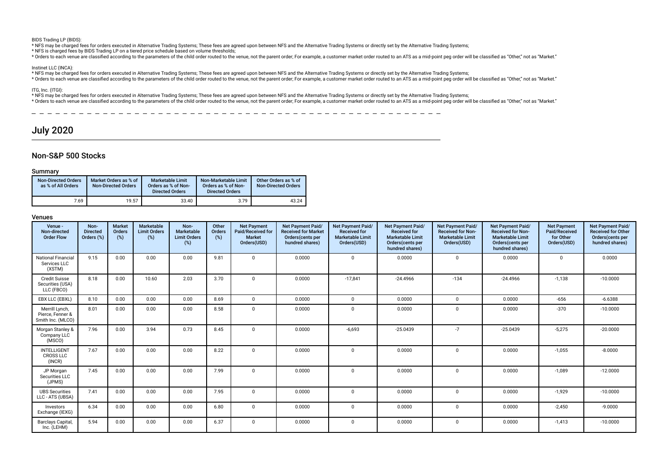BIDS Trading LP (BIDS):

\* NFS may be charged fees for orders executed in Alternative Trading Systems; These fees are agreed upon between NFS and the Alternative Trading Systems or directly set by the Alternative Trading Systems;

\* NFS is charged fees by BIDS Trading LP on a tiered price schedule based on volume thresholds;

\* Orders to each venue are classified according to the parameters of the child order routed to the venue, not the parent order. For example, a customer market order routed to an ATS as a mid-point peg order will be classif

#### Instinet LLC (INCA):

\* NFS may be charged fees for orders executed in Alternative Trading Systems; These fees are agreed upon between NFS and the Alternative Trading Systems or directly set by the Alternative Trading Systems;

\* Orders to each venue are classified according to the parameters of the child order routed to the venue, not the parent order; For example, a customer market order routed to an ATS as a mid-point peq order will be classif

### ITG, Inc. (ITGI):

\* NFS may be charged fees for orders executed in Alternative Trading Systems; These fees are agreed upon between NFS and the Alternative Trading Systems or directly set by the Alternative Trading Systems;

\* Orders to each venue are classified according to the parameters of the child order routed to the venue, not the parent order; For example, a customer market order routed to tan ATS as a mid-point peg order will be classi

# July 2020

# Non-S&P 500 Stocks

### Summary

| <b>Non-Directed Orders</b><br>as % of All Orders | Market Orders as % of<br><b>Non-Directed Orders</b> | Marketable Limit<br>Orders as % of Non-<br><b>Directed Orders</b> | Non-Marketable Limit<br>Orders as % of Non-<br><b>Directed Orders</b> | Other Orders as % of<br><b>Non-Directed Orders</b> |
|--------------------------------------------------|-----------------------------------------------------|-------------------------------------------------------------------|-----------------------------------------------------------------------|----------------------------------------------------|
| 7.69                                             | 19.57                                               | 33.40                                                             | 3.79                                                                  | 43.24                                              |

| Venue -<br>Non-directed<br><b>Order Flow</b>            | Non-<br><b>Directed</b><br>Orders (%) | <b>Market</b><br>Orders<br>(%) | Marketable<br><b>Limit Orders</b><br>(%) | Non-<br>Marketable<br><b>Limit Orders</b><br>(%) | Other<br>Orders<br>(%) | <b>Net Payment</b><br>Paid/Received for<br><b>Market</b><br>Orders(USD) | Net Payment Paid/<br><b>Received for Market</b><br>Orders(cents per<br>hundred shares) | Net Payment Paid/<br><b>Received for</b><br><b>Marketable Limit</b><br>Orders(USD) | Net Payment Paid/<br><b>Received for</b><br><b>Marketable Limit</b><br>Orders(cents per<br>hundred shares) | Net Payment Paid/<br><b>Received for Non-</b><br><b>Marketable Limit</b><br>Orders(USD) | <b>Net Payment Paid/</b><br><b>Received for Non-</b><br><b>Marketable Limit</b><br>Orders(cents per<br>hundred shares) | <b>Net Payment</b><br>Paid/Received<br>for Other<br>Orders(USD) | Net Payment Paid/<br><b>Received for Other</b><br>Orders(cents per<br>hundred shares) |
|---------------------------------------------------------|---------------------------------------|--------------------------------|------------------------------------------|--------------------------------------------------|------------------------|-------------------------------------------------------------------------|----------------------------------------------------------------------------------------|------------------------------------------------------------------------------------|------------------------------------------------------------------------------------------------------------|-----------------------------------------------------------------------------------------|------------------------------------------------------------------------------------------------------------------------|-----------------------------------------------------------------|---------------------------------------------------------------------------------------|
| <b>National Financial</b><br>Services LLC<br>(XSTM)     | 9.15                                  | 0.00                           | 0.00                                     | 0.00                                             | 9.81                   | $\Omega$                                                                | 0.0000                                                                                 | $\Omega$                                                                           | 0.0000                                                                                                     | $\mathbf 0$                                                                             | 0.0000                                                                                                                 | $\mathbf 0$                                                     | 0.0000                                                                                |
| <b>Credit Suisse</b><br>Securities (USA)<br>LLC (FBCO)  | 8.18                                  | 0.00                           | 10.60                                    | 2.03                                             | 3.70                   | $\Omega$                                                                | 0.0000                                                                                 | $-17,841$                                                                          | $-24.4966$                                                                                                 | $-134$                                                                                  | $-24.4966$                                                                                                             | $-1,138$                                                        | $-10.0000$                                                                            |
| EBX LLC (EBXL)                                          | 8.10                                  | 0.00                           | 0.00                                     | 0.00                                             | 8.69                   | $\mathbf 0$                                                             | 0.0000                                                                                 | $\mathbf{0}$                                                                       | 0.0000                                                                                                     | $\mathbf 0$                                                                             | 0.0000                                                                                                                 | $-656$                                                          | $-6.6388$                                                                             |
| Merrill Lynch,<br>Pierce, Fenner &<br>Smith Inc. (MLCO) | 8.01                                  | 0.00                           | 0.00                                     | 0.00                                             | 8.58                   | $\Omega$                                                                | 0.0000                                                                                 | $\Omega$                                                                           | 0.0000                                                                                                     | $\Omega$                                                                                | 0.0000                                                                                                                 | $-370$                                                          | $-10.0000$                                                                            |
| Morgan Stanley &<br>Company LLC<br>(MSCO)               | 7.96                                  | 0.00                           | 3.94                                     | 0.73                                             | 8.45                   | $\Omega$                                                                | 0.0000                                                                                 | $-6,693$                                                                           | $-25.0439$                                                                                                 | $-7$                                                                                    | $-25.0439$                                                                                                             | $-5,275$                                                        | $-20.0000$                                                                            |
| <b>INTELLIGENT</b><br><b>CROSS LLC</b><br>(INCR)        | 7.67                                  | 0.00                           | 0.00                                     | 0.00                                             | 8.22                   | $\mathbf 0$                                                             | 0.0000                                                                                 | $\mathbf{0}$                                                                       | 0.0000                                                                                                     | $\mathbf{0}$                                                                            | 0.0000                                                                                                                 | $-1,055$                                                        | $-8.0000$                                                                             |
| JP Morgan<br>Securities LLC<br>(JPMS)                   | 7.45                                  | 0.00                           | 0.00                                     | 0.00                                             | 7.99                   | $\Omega$                                                                | 0.0000                                                                                 | $\Omega$                                                                           | 0.0000                                                                                                     | $\Omega$                                                                                | 0.0000                                                                                                                 | $-1,089$                                                        | $-12.0000$                                                                            |
| <b>UBS Securities</b><br>LLC - ATS (UBSA)               | 7.41                                  | 0.00                           | 0.00                                     | 0.00                                             | 7.95                   | $\Omega$                                                                | 0.0000                                                                                 | $\Omega$                                                                           | 0.0000                                                                                                     | $\Omega$                                                                                | 0.0000                                                                                                                 | $-1.929$                                                        | $-10.0000$                                                                            |
| Investors<br>Exchange (IEXG)                            | 6.34                                  | 0.00                           | 0.00                                     | 0.00                                             | 6.80                   | $\mathbf 0$                                                             | 0.0000                                                                                 | $\mathbf 0$                                                                        | 0.0000                                                                                                     | $\mathbf 0$                                                                             | 0.0000                                                                                                                 | $-2,450$                                                        | $-9.0000$                                                                             |
| <b>Barclays Capital</b><br>Inc. (LEHM)                  | 5.94                                  | 0.00                           | 0.00                                     | 0.00                                             | 6.37                   | $\mathbf 0$                                                             | 0.0000                                                                                 | $\Omega$                                                                           | 0.0000                                                                                                     | $\Omega$                                                                                | 0.0000                                                                                                                 | $-1,413$                                                        | $-10.0000$                                                                            |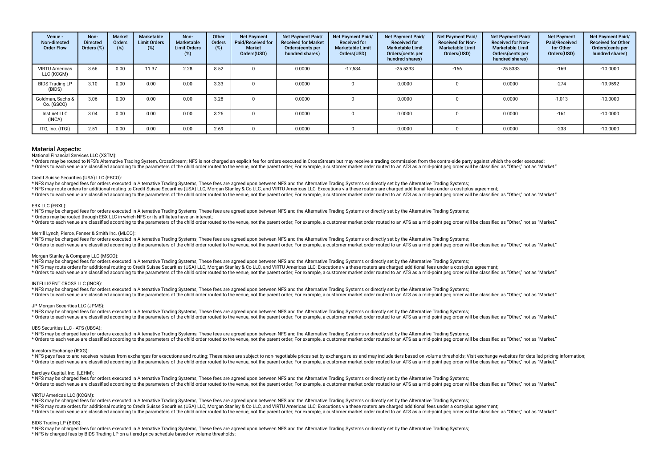| Venue -<br>Non-directed<br><b>Order Flow</b> | Non-<br><b>Directed</b><br>Orders (%) | <b>Market</b><br>Orders<br>$(\%)$ | Marketable<br><b>Limit Orders</b><br>(%) | Non-<br>Marketable<br><b>Limit Orders</b><br>$(\%)$ | Other<br><b>Orders</b><br>(%) | <b>Net Payment</b><br>Paid/Received for<br><b>Market</b><br>Orders(USD) | <b>Net Payment Paid/</b><br><b>Received for Market</b><br>Orders(cents per<br>hundred shares) | <b>Net Payment Paid/</b><br><b>Received for</b><br><b>Marketable Limit</b><br>Orders(USD) | Net Payment Paid/<br><b>Received for</b><br><b>Marketable Limit</b><br>Orders (cents per<br>hundred shares) | <b>Net Payment Paid/</b><br><b>Received for Non-</b><br><b>Marketable Limit</b><br>Orders(USD) | Net Payment Paid/<br><b>Received for Non-</b><br><b>Marketable Limit</b><br>Orders(cents per<br>hundred shares) | <b>Net Payment</b><br>Paid/Received<br>for Other<br>Orders(USD) | <b>Net Payment Paid/</b><br><b>Received for Other</b><br>Orders(cents per<br>hundred shares) |
|----------------------------------------------|---------------------------------------|-----------------------------------|------------------------------------------|-----------------------------------------------------|-------------------------------|-------------------------------------------------------------------------|-----------------------------------------------------------------------------------------------|-------------------------------------------------------------------------------------------|-------------------------------------------------------------------------------------------------------------|------------------------------------------------------------------------------------------------|-----------------------------------------------------------------------------------------------------------------|-----------------------------------------------------------------|----------------------------------------------------------------------------------------------|
| <b>VIRTU Americas</b><br>LLC (KCGM)          | 3.66                                  | 0.00                              | 11.37                                    | 2.28                                                | 8.52                          |                                                                         | 0.0000                                                                                        | $-17.534$                                                                                 | $-25.5333$                                                                                                  | $-166$                                                                                         | $-25.5333$                                                                                                      | $-169$                                                          | $-10.0000$                                                                                   |
| <b>BIDS Trading LP</b><br>(BIDS)             | 3.10                                  | 0.00                              | 0.00                                     | 0.00                                                | 3.33                          |                                                                         | 0.0000                                                                                        |                                                                                           | 0.0000                                                                                                      |                                                                                                | 0.0000                                                                                                          | $-274$                                                          | $-19.9592$                                                                                   |
| Goldman, Sachs &<br>Co. (GSCO)               | 3.06                                  | 0.00                              | 0.00                                     | 0.00                                                | 3.28                          |                                                                         | 0.0000                                                                                        |                                                                                           | 0.0000                                                                                                      |                                                                                                | 0.0000                                                                                                          | $-1,013$                                                        | $-10.0000$                                                                                   |
| Instinet LLC<br>(INCA)                       | 3.04                                  | 0.00                              | 0.00                                     | 0.00                                                | 3.26                          |                                                                         | 0.0000                                                                                        |                                                                                           | 0.0000                                                                                                      |                                                                                                | 0.0000                                                                                                          | $-161$                                                          | $-10.0000$                                                                                   |
| ITG, Inc. (ITGI)                             | 2.51                                  | 0.00                              | 0.00                                     | 0.00                                                | 2.69                          |                                                                         | 0.0000                                                                                        |                                                                                           | 0.0000                                                                                                      |                                                                                                | 0.0000                                                                                                          | $-233$                                                          | $-10.0000$                                                                                   |

National Financial Services LLC (XSTM):

\* Orders may be routed to NES's Alternative Trading System, CrossStream: NES is not charged an explicit fee for orders executed in CrossStream but may receive a trading commission from the contra-side party against which t \* Orders to each venue are classified according to the parameters of the child order routed to the venue, not the parent order. For example, a customer market order routed to an ATS as a mid-point ped order will be classif

#### Credit Suisse Securities (USA) LLC (FBCO):

\* NFS may be charged fees for orders executed in Alternative Trading Systems; These fees are agreed upon between NFS and the Alternative Trading Systems or directly set by the Alternative Trading Systems;

\* NFS may route orders for additional routing to Credit Suisse Securities (USA) LLC, Morgan Stanley & Co LLC, and VIRTU Americas LLC; Executions via these routers are charged additional fees under a cost-plus agreement;

\* Orders to each venue are classified according to the parameters of the child order routed to the venue, not the parent order. For example, a customer market order routed to an ATS as a mid-point ped order will be classif

#### EBX LLC (EBXL):

\* NFS may be charged fees for orders executed in Alternative Trading Systems; These fees are agreed upon between NFS and the Alternative Trading Systems or directly set by the Alternative Trading Systems;

\* Orders may be routed through EBX LLC in which NFS or its affliates have an interest;

\* Orders to each venue are classified according to the parameters of the child order routed to the venue, not the parent order. For example, a customer market order routed to an ATS as a mid-point ped order vill be classif

#### Merrill Lynch, Pierce, Fenner & Smith Inc. (MLCO):

\* NFS may be charged fees for orders executed in Alternative Trading Systems; These fees are agreed upon between NFS and the Alternative Trading Systems or directly set by the Alternative Trading Systems;

\* Orders to each venue are classified according to the parameters of the child order routed to the venue, not the parent order, For example, a customer market order routed to an ATS as a mid-point peg order will be classif

#### Morgan Stanley & Company LLC (MSCO):

\* NFS may be charged fees for orders executed in Alternative Trading Systems; These fees are agreed upon between NFS and the Alternative Trading Systems or directly set by the Alternative Trading Systems;

\* NFS may route orders for additional routing to Credit Suisse Securities (USA) LLC, Morgan Stanley & Co LLC, and VIRTU Americas LLC; Executions via these routers are charged additional fees under a cost-plus agreement;

\* Orders to each venue are classified according to the parameters of the child order routed to the venue, not the parent order; For example, a customer market order routed to an ATS as a mid-point peg order will be classif

#### INTELLIGENT CROSS LLC (INCR):

\* NFS may be charged fees for orders executed in Alternative Trading Systems; These fees are agreed upon between NFS and the Alternative Trading Systems or directly set by the Alternative Trading Systems; \* Orders to each venue are classified according to the parameters of the child order routed to the venue, not the parent order; For example, a customer market order routed to an ATS as a mid-point peq order will be classif

#### JP Morgan Securities LLC (JPMS):

\* NFS may be charged fees for orders executed in Alternative Trading Systems; These fees are agreed upon between NFS and the Alternative Trading Systems or directly set by the Alternative Trading Systems; \* Orders to each venue are classified according to the parameters of the child order routed to the venue, not the parent order, For example, a customer market order routed to an ATS as a mid-point peg order will be classif

#### UBS Securities LLC - ATS (UBSA):

\* NFS may be charged fees for orders executed in Alternative Trading Systems; These fees are agreed upon between NFS and the Alternative Trading Systems or directly set by the Alternative Trading Systems; \* Orders to each venue are classified according to the parameters of the child order routed to the venue, not the parent order. For example, a customer market order routed to an ATS as a mid-point peg order will be classif

#### Investors Exchange (IEXG)

\* NFS pays fees to and receives rebates from exchanges for executions and routing: These rates are subject to non-negotiable prices set by exchange rules and may include tiers based on yolume thresholds: Visit exchange web \* Orders to each venue are classified according to the parameters of the child order routed to the venue, not the parent order. For example, a customer market order routed to an ATS as a mid-point peg order will be classif

#### Barclays Capital, Inc. (LEHM):

\* NFS may be charged fees for orders executed in Alternative Trading Systems; These fees are agreed upon between NFS and the Alternative Trading Systems or directly set by the Alternative Trading Systems; \* Orders to each venue are classified according to the parameters of the child order routed to the venue, not the parent order. For example, a customer market order routed to an ATS as a mid-point ped order will be classif

#### VIRTU Americas LLC (KCGM):

\* NFS may be charged fees for orders executed in Alternative Trading Systems; These fees are agreed upon between NFS and the Alternative Trading Systems or directly set by the Alternative Trading Systems;

- \* NFS may route orders for additional routing to Credit Suisse Securities (USA) LLC, Morgan Stanley & Co LLC, and VIRTU Americas LLC; Executions via these routers are charged additional fees under a cost-plus agreement;
- \* Orders to each venue are classified according to the parameters of the child order routed to the venue, not the parent order; For example, a customer market order routed to an ATS as a mid-point peg order will be classif

#### BIDS Trading LP (BIDS):

\* NFS may be charged fees for orders executed in Alternative Trading Systems; These fees are agreed upon between NFS and the Alternative Trading Systems or directly set by the Alternative Trading Systems;

\* NFS is charged fees by BIDS Trading LP on a tiered price schedule based on volume thresholds;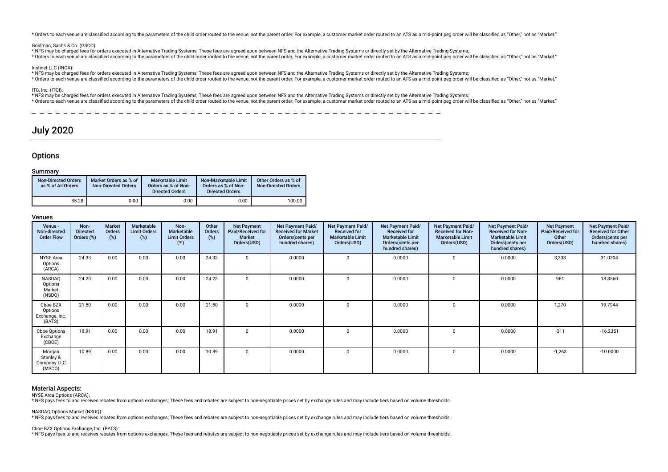\* Orders to each venue are classified according to the parameters of the child order routed to the venue, not the parent order; For example, a customer market order routed to an ATS as a mid-point peg order will be classif

#### Goldman, Sachs & Co. (GSCO):

\* NFS may be charged fees for orders executed in Alternative Trading Systems; These fees are agreed upon between NFS and the Alternative Trading Systems or directly set by the Alternative Trading Systems;

\* Orders to each venue are classified according to the parameters of the child order routed to the venue, not the parent order. For example, a customer market order routed to an ATS as a mid-point ped order will be classif

#### Instinet LLC (INCA):

\* NFS may be charged fees for orders executed in Alternative Trading Systems; These fees are agreed upon between NFS and the Alternative Trading Systems or directly set by the Alternative Trading Systems;

\* Orders to each venue are classified according to the parameters of the child order routed to the venue, not the parent order. For example, a customer market order routed to an ATS as a mid-point peg order will be classif

### ITG, Inc. (ITGI):

\* NFS may be charged fees for orders executed in Alternative Trading Systems; These fees are agreed upon between NFS and the Alternative Trading Systems or directly set by the Alternative Trading Systems;

\* Orders to each venue are classified according to the parameters of the child order routed to the venue, not the parent order. For example, a customer market order routed to an ATS as a mid-point peg order will be classif

# July 2020

### **Options**

#### Summary

| <b>Non-Directed Orders</b><br>as % of All Orders | Market Orders as % of<br><b>Non-Directed Orders</b> | Marketable Limit<br>Orders as % of Non-<br><b>Directed Orders</b> | Non-Marketable Limit<br>Orders as % of Non-<br><b>Directed Orders</b> | Other Orders as % of<br><b>Non-Directed Orders</b> |
|--------------------------------------------------|-----------------------------------------------------|-------------------------------------------------------------------|-----------------------------------------------------------------------|----------------------------------------------------|
| 85.28                                            | 0.00                                                | 0.00                                                              | 0.00                                                                  | 100.00                                             |

### Venues

| Venue -<br>Non-directed<br><b>Order Flow</b>    | Non-<br><b>Directed</b><br>Orders (%) | <b>Market</b><br>Orders<br>$(\%)$ | Marketable<br><b>Limit Orders</b><br>(%) | Non-<br><b>Marketable</b><br><b>Limit Orders</b><br>(%) | Other<br>Orders<br>(%) | <b>Net Payment</b><br>Paid/Received for<br>Market<br>Orders(USD) | Net Payment Paid/<br><b>Received for Market</b><br>Orders(cents per<br>hundred shares) | Net Payment Paid/<br><b>Received for</b><br><b>Marketable Limit</b><br>Orders(USD) | Net Payment Paid/<br><b>Received for</b><br><b>Marketable Limit</b><br>Orders (cents per<br>hundred shares) | Net Payment Paid/<br><b>Received for Non-</b><br><b>Marketable Limit</b><br>Orders(USD) | <b>Net Payment Paid/</b><br><b>Received for Non-</b><br><b>Marketable Limit</b><br>Orders (cents per<br>hundred shares) | <b>Net Payment</b><br>Paid/Received for<br>Other<br>Orders(USD) | Net Payment Paid/<br><b>Received for Other</b><br>Orders(cents per<br>hundred shares) |
|-------------------------------------------------|---------------------------------------|-----------------------------------|------------------------------------------|---------------------------------------------------------|------------------------|------------------------------------------------------------------|----------------------------------------------------------------------------------------|------------------------------------------------------------------------------------|-------------------------------------------------------------------------------------------------------------|-----------------------------------------------------------------------------------------|-------------------------------------------------------------------------------------------------------------------------|-----------------------------------------------------------------|---------------------------------------------------------------------------------------|
| <b>NYSE</b> Arca<br>Options<br>(ARCA)           | 24.33                                 | 0.00                              | 0.00                                     | 0.00                                                    | 24.33                  | $\mathbf 0$                                                      | 0.0000                                                                                 |                                                                                    | 0.0000                                                                                                      |                                                                                         | 0.0000                                                                                                                  | 3,338                                                           | 31.0304                                                                               |
| NASDAQ<br>Options<br>Market<br>(NSDQ)           | 24.23                                 | 0.00                              | 0.00                                     | 0.00                                                    | 24.23                  | $\mathbf 0$                                                      | 0.0000                                                                                 |                                                                                    | 0.0000                                                                                                      |                                                                                         | 0.0000                                                                                                                  | 961                                                             | 18.8560                                                                               |
| Cboe BZX<br>Options<br>Exchange, Inc.<br>(BATS) | 21.50                                 | 0.00                              | 0.00                                     | 0.00                                                    | 21.50                  | 0                                                                | 0.0000                                                                                 |                                                                                    | 0.0000                                                                                                      |                                                                                         | 0.0000                                                                                                                  | 1,270                                                           | 19.7944                                                                               |
| Cboe Options<br>Exchange<br>(CBOE)              | 18.91                                 | 0.00                              | 0.00                                     | 0.00                                                    | 18.91                  | $\mathbf 0$                                                      | 0.0000                                                                                 |                                                                                    | 0.0000                                                                                                      |                                                                                         | 0.0000                                                                                                                  | $-311$                                                          | $-16.2351$                                                                            |
| Morgan<br>Stanley &<br>Company LLC<br>(MSCO)    | 10.89                                 | 0.00                              | 0.00                                     | 0.00                                                    | 10.89                  | $\mathbf 0$                                                      | 0.0000                                                                                 | <sup>0</sup>                                                                       | 0.0000                                                                                                      | $\Omega$                                                                                | 0.0000                                                                                                                  | $-1,263$                                                        | $-10.0000$                                                                            |

### Material Aspects:

NYSE Arca Options (ARCA):

\* NFS pays fees to and receives rebates from options exchanges; These fees and rebates are subject to non-negotiable prices set by exchange rules and may include tiers based on volume thresholds.

NASDAQ Options Market (NSDQ):

\* NFS pays fees to and receives rebates from options exchanges; These fees and rebates are subject to non-negotiable prices set by exchange rules and may include tiers based on volume thresholds.

Cboe BZX Options Exchange, Inc. (BATS):

\* NFS pays fees to and receives rebates from options exchanges; These fees and rebates are subject to non-negotiable prices set by exchange rules and may include tiers based on volume thresholds.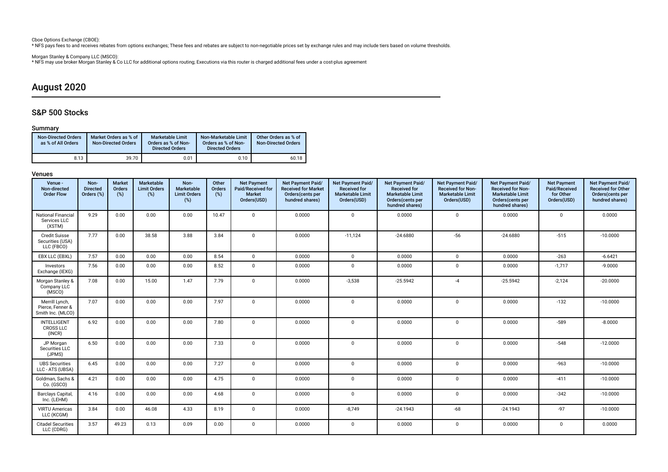Cboe Options Exchange (CBOE):

\* NFS pays fees to and receives rebates from options exchanges; These fees and rebates are subject to non-negotiable prices set by exchange rules and may include tiers based on volume thresholds.

Morgan Stanley & Company LLC (MSCO):

\* NFS may use broker Morgan Stanley & Co LLC for additional options routing; Executions via this router is charged additional fees under a cost-plus agreement

# August 2020

# S&P 500 Stocks

# Summary

| <b>Non-Directed Orders</b><br>as % of All Orders | Market Orders as % of<br><b>Non-Directed Orders</b> | <b>Marketable Limit</b><br>Orders as % of Non-<br><b>Directed Orders</b> | Non-Marketable Limit<br>Orders as % of Non-<br><b>Directed Orders</b> | Other Orders as % of<br><b>Non-Directed Orders</b> |
|--------------------------------------------------|-----------------------------------------------------|--------------------------------------------------------------------------|-----------------------------------------------------------------------|----------------------------------------------------|
| 8.13                                             | 39.70                                               | 0.01                                                                     | 0.10                                                                  | 60.18                                              |

| Venue -<br>Non-directed<br><b>Order Flow</b>            | Non-<br><b>Directed</b><br>Orders (%) | <b>Market</b><br>Orders<br>(%) | Marketable<br><b>Limit Orders</b><br>(%) | Non-<br>Marketable<br><b>Limit Orders</b><br>(%) | Other<br>Orders<br>(%) | <b>Net Payment</b><br>Paid/Received for<br><b>Market</b><br>Orders(USD) | Net Payment Paid/<br><b>Received for Market</b><br>Orders(cents per<br>hundred shares) | Net Payment Paid/<br><b>Received for</b><br><b>Marketable Limit</b><br>Orders(USD) | Net Payment Paid/<br><b>Received for</b><br><b>Marketable Limit</b><br>Orders(cents per<br>hundred shares) | Net Payment Paid/<br><b>Received for Non-</b><br><b>Marketable Limit</b><br>Orders(USD) | Net Payment Paid/<br><b>Received for Non-</b><br><b>Marketable Limit</b><br>Orders(cents per<br>hundred shares) | <b>Net Payment</b><br>Paid/Received<br>for Other<br>Orders(USD) | Net Payment Paid/<br><b>Received for Other</b><br>Orders(cents per<br>hundred shares) |
|---------------------------------------------------------|---------------------------------------|--------------------------------|------------------------------------------|--------------------------------------------------|------------------------|-------------------------------------------------------------------------|----------------------------------------------------------------------------------------|------------------------------------------------------------------------------------|------------------------------------------------------------------------------------------------------------|-----------------------------------------------------------------------------------------|-----------------------------------------------------------------------------------------------------------------|-----------------------------------------------------------------|---------------------------------------------------------------------------------------|
| <b>National Financial</b><br>Services LLC<br>(XSTM)     | 9.29                                  | 0.00                           | 0.00                                     | 0.00                                             | 10.47                  | $\mathbf 0$                                                             | 0.0000                                                                                 | $\mathbf 0$                                                                        | 0.0000                                                                                                     | $\mathbf 0$                                                                             | 0.0000                                                                                                          | $\mathbf 0$                                                     | 0.0000                                                                                |
| <b>Credit Suisse</b><br>Securities (USA)<br>LLC (FBCO)  | 7.77                                  | 0.00                           | 38.58                                    | 3.88                                             | 3.84                   | $\mathbf{0}$                                                            | 0.0000                                                                                 | $-11,124$                                                                          | $-24.6880$                                                                                                 | $-56$                                                                                   | $-24.6880$                                                                                                      | $-515$                                                          | $-10.0000$                                                                            |
| EBX LLC (EBXL)                                          | 7.57                                  | 0.00                           | 0.00                                     | 0.00                                             | 8.54                   | $\mathbf{0}$                                                            | 0.0000                                                                                 | $\Omega$                                                                           | 0.0000                                                                                                     | $\mathbf{0}$                                                                            | 0.0000                                                                                                          | $-263$                                                          | $-6.6421$                                                                             |
| Investors<br>Exchange (IEXG)                            | 7.56                                  | 0.00                           | 0.00                                     | 0.00                                             | 8.52                   | $\mathbf 0$                                                             | 0.0000                                                                                 | $\mathbf 0$                                                                        | 0.0000                                                                                                     | 0                                                                                       | 0.0000                                                                                                          | $-1,717$                                                        | $-9.0000$                                                                             |
| Morgan Stanley &<br>Company LLC<br>(MSCO)               | 7.08                                  | 0.00                           | 15.00                                    | 1.47                                             | 7.79                   | $\mathbf 0$                                                             | 0.0000                                                                                 | $-3,538$                                                                           | $-25.5942$                                                                                                 | $-4$                                                                                    | $-25.5942$                                                                                                      | $-2,124$                                                        | $-20.0000$                                                                            |
| Merrill Lynch,<br>Pierce, Fenner &<br>Smith Inc. (MLCO) | 7.07                                  | 0.00                           | 0.00                                     | 0.00                                             | 7.97                   | $\mathbf 0$                                                             | 0.0000                                                                                 | $\mathbf{0}$                                                                       | 0.0000                                                                                                     | 0                                                                                       | 0.0000                                                                                                          | $-132$                                                          | $-10.0000$                                                                            |
| INTELLIGENT<br><b>CROSS LLC</b><br>(INCR)               | 6.92                                  | 0.00                           | 0.00                                     | 0.00                                             | 7.80                   | $\mathbf 0$                                                             | 0.0000                                                                                 | $\mathsf 0$                                                                        | 0.0000                                                                                                     | 0                                                                                       | 0.0000                                                                                                          | $-589$                                                          | $-8.0000$                                                                             |
| JP Morgan<br>Securities LLC<br>(JPMS)                   | 6.50                                  | 0.00                           | 0.00                                     | 0.00                                             | 7.33                   | $\mathbf 0$                                                             | 0.0000                                                                                 | $\mathsf 0$                                                                        | 0.0000                                                                                                     | $\mathbf 0$                                                                             | 0.0000                                                                                                          | $-548$                                                          | $-12.0000$                                                                            |
| <b>UBS Securities</b><br>LLC - ATS (UBSA)               | 6.45                                  | 0.00                           | 0.00                                     | 0.00                                             | 7.27                   | $\mathbf 0$                                                             | 0.0000                                                                                 | $\mathbf 0$                                                                        | 0.0000                                                                                                     | $\mathbf 0$                                                                             | 0.0000                                                                                                          | $-963$                                                          | $-10.0000$                                                                            |
| Goldman, Sachs &<br>Co. (GSCO)                          | 4.21                                  | 0.00                           | 0.00                                     | 0.00                                             | 4.75                   | $\mathbf 0$                                                             | 0.0000                                                                                 | $\mathbf 0$                                                                        | 0.0000                                                                                                     | $\mathbf 0$                                                                             | 0.0000                                                                                                          | $-411$                                                          | $-10.0000$                                                                            |
| Barclays Capital,<br>Inc. (LEHM)                        | 4.16                                  | 0.00                           | 0.00                                     | 0.00                                             | 4.68                   | $\mathbf 0$                                                             | 0.0000                                                                                 | $\mathbf{0}$                                                                       | 0.0000                                                                                                     | $\mathbf{0}$                                                                            | 0.0000                                                                                                          | $-342$                                                          | $-10.0000$                                                                            |
| <b>VIRTU Americas</b><br>LLC (KCGM)                     | 3.84                                  | 0.00                           | 46.08                                    | 4.33                                             | 8.19                   | $\mathbf 0$                                                             | 0.0000                                                                                 | $-8,749$                                                                           | $-24.1943$                                                                                                 | $-68$                                                                                   | $-24.1943$                                                                                                      | $-97$                                                           | $-10.0000$                                                                            |
| <b>Citadel Securities</b><br>LLC (CDRG)                 | 3.57                                  | 49.23                          | 0.13                                     | 0.09                                             | 0.00                   | $\mathbf 0$                                                             | 0.0000                                                                                 | $\mathbf 0$                                                                        | 0.0000                                                                                                     | 0                                                                                       | 0.0000                                                                                                          | $\mathbf 0$                                                     | 0.0000                                                                                |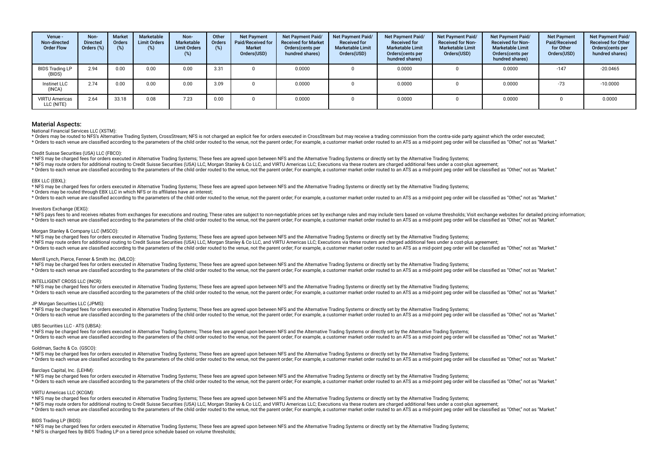| Venue -<br>Non-directed<br><b>Order Flow</b> | Non-<br><b>Directed</b><br>Orders $(\%)$ | <b>Market</b><br><b>Orders</b><br>(%) | Marketable<br><b>Limit Orders</b><br>(%) | Non-<br><b>Marketable</b><br><b>Limit Orders</b><br>$(\%)$ | Other<br><b>Orders</b><br>(%) | <b>Net Payment</b><br>Paid/Received for<br><b>Market</b><br>Orders(USD) | <b>Net Payment Paid/</b><br><b>Received for Market</b><br>Orders(cents per<br>hundred shares) | Net Payment Paid/<br><b>Received for</b><br><b>Marketable Limit</b><br>Orders(USD) | <b>Net Payment Paid/</b><br><b>Received for</b><br><b>Marketable Limit</b><br>Orders (cents per<br>hundred shares) | Net Payment Paid/<br><b>Received for Non-</b><br><b>Marketable Limit</b><br>Orders(USD) | Net Payment Paid/<br><b>Received for Non-</b><br><b>Marketable Limit</b><br>Orders(cents per<br>hundred shares) | <b>Net Payment</b><br>Paid/Received<br>for Other<br>Orders(USD) | Net Payment Paid/<br><b>Received for Other</b><br>Orders(cents per<br>hundred shares) |
|----------------------------------------------|------------------------------------------|---------------------------------------|------------------------------------------|------------------------------------------------------------|-------------------------------|-------------------------------------------------------------------------|-----------------------------------------------------------------------------------------------|------------------------------------------------------------------------------------|--------------------------------------------------------------------------------------------------------------------|-----------------------------------------------------------------------------------------|-----------------------------------------------------------------------------------------------------------------|-----------------------------------------------------------------|---------------------------------------------------------------------------------------|
| <b>BIDS Trading LP</b><br>(BIDS)             | 2.94                                     | 0.00                                  | 0.00                                     | 0.00                                                       | 3.31                          |                                                                         | 0.0000                                                                                        |                                                                                    | 0.0000                                                                                                             |                                                                                         | 0.0000                                                                                                          | $-147$                                                          | $-20.0465$                                                                            |
| Instinet LLC<br>(INCA)                       | 2.74                                     | 0.00                                  | 0.00                                     | 0.00                                                       | 3.09                          |                                                                         | 0.0000                                                                                        |                                                                                    | 0.0000                                                                                                             |                                                                                         | 0.0000                                                                                                          | $-73$                                                           | $-10.0000$                                                                            |
| <b>VIRTU Americas</b><br>LLC (NITE)          | 2.64                                     | 33.18                                 | 0.08                                     | 7.23                                                       | 0.00                          |                                                                         | 0.0000                                                                                        |                                                                                    | 0.0000                                                                                                             |                                                                                         | 0.0000                                                                                                          |                                                                 | 0.0000                                                                                |

National Financial Services LLC (XSTM):

\* Orders may be routed to NFS's Alternative Trading System, CrossStream; NFS is not charged an explicit fee for orders executed in CrossStream but may receive a trading commission from the contra-side party against which t \* Orders to each venue are classified according to the parameters of the child order routed to the venue, not the parent order. For example, a customer market order routed to an ATS as a mid-point peg order will be classif

#### Credit Suisse Securities (USA) LLC (FBCO):

\* NFS may be charged fees for orders executed in Alternative Trading Systems; These fees are agreed upon between NFS and the Alternative Trading Systems or directly set by the Alternative Trading Systems;

\* NFS may route orders for additional routing to Credit Suisse Securities (USA) LLC, Morgan Stanley & Co LLC, and VIRTU Americas LLC; Executions via these routers are charged additional fees under a cost-plus agreement;

\* Orders to each venue are classified according to the parameters of the child order routed to the venue, not the parent order. For example, a customer market order routed to an ATS as a mid-point peg order will be classif

#### EBX LLC (EBXL):

\* NFS may be charged fees for orders executed in Alternative Trading Systems; These fees are agreed upon between NFS and the Alternative Trading Systems or directly set by the Alternative Trading Systems;

\* Orders may be routed through EBX LLC in which NFS or its affliates have an interest;

\* Orders to each venue are classified according to the parameters of the child order routed to the venue, not the parent order; For example, a customer market order routed to an ATS as a mid-point peg order will be classif

#### Investors Exchange (IEXG):

\* NFS pays fees to and receives rebates from exchanges for executions and routing; These rates are subject to non-negotiable prices set by exchange rules and may include tiers based on volume thresholds; Visit exchange web \* Orders to each venue are classified according to the parameters of the child order routed to the venue, not the parent order. For example, a customer market order routed to an ATS as a mid-point peg order will be classif

#### Morgan Stanley & Company LLC (MSCO):

\* NFS may be charged fees for orders executed in Alternative Trading Systems; These fees are agreed upon between NFS and the Alternative Trading Systems or directly set by the Alternative Trading Systems;

\* NFS may route orders for additional routing to Credit Suisse Securities (USA) LLC, Morgan Stanley & Co LLC, and VIRTU Americas LLC; Executions via these routers are charged additional fees under a cost-plus agreement;

\* Orders to each venue are classified according to the parameters of the child order routed to the venue, not the parent order. For example, a customer market order routed to an ATS as a mid-point peg order will be classif

#### Merrill Lynch, Pierce, Fenner & Smith Inc. (MLCO):

 $\sim$  NFS may be charged fees for orders executed in Alternative Trading Systems; These fees are agreed upon between NFS and the Alternative Trading Systems or directly set by the Alternative Trading Systems;

\* Orders to each venue are classified according to the parameters of the child order routed to the venue, not the parent order; For example, a customer market order routed to an ATS as a mid-point peg order will be classif

#### INTELLIGENT CROSS LLC (INCR):

\* NFS may be charged fees for orders executed in Alternative Trading Systems; These fees are agreed upon between NFS and the Alternative Trading Systems or directly set by the Alternative Trading Systems;

\* Orders to each venue are classified according to the parameters of the child order routed to the venue, not the parent order; For example, a customer market order routed to an ATS as a mid-point peq order will be classif

#### JP Morgan Securities LLC (JPMS):

\* NFS may be charged fees for orders executed in Alternative Trading Systems; These fees are agreed upon between NFS and the Alternative Trading Systems or directly set by the Alternative Trading Systems; \* Orders to each venue are classified according to the parameters of the child order routed to the venue, not the parent order; For example, a customer market order routed to an ATS as a mid-point peq order will be classif

#### UBS Securities LLC - ATS (UBSA):

\* NFS may be charged fees for orders executed in Alternative Trading Systems; These fees are agreed upon between NFS and the Alternative Trading Systems or directly set by the Alternative Trading Systems; \* Orders to each venue are classified according to the parameters of the child order routed to the venue, not the parent order; For example, a customer market order routed to an ATS as a mid-point peq order will be classif

#### Goldman, Sachs & Co. (GSCO):

\* NFS may be charged fees for orders executed in Alternative Trading Systems; These fees are agreed upon between NFS and the Alternative Trading Systems or directly set by the Alternative Trading Systems;

\* Orders to each venue are classified according to the parameters of the child order routed to the venue, not the parent order; For example, a customer market order routed to an ATS as a mid-point peg order will be classif

#### Barclays Capital, Inc. (LEHM):

\* NFS may be charged fees for orders executed in Alternative Trading Systems; These fees are agreed upon between NFS and the Alternative Trading Systems or directly set by the Alternative Trading Systems;

\* Orders to each venue are classified according to the parameters of the child order routed to the venue, not the parent order; For example, a customer market order routed to an ATS as a mid-point peg order will be classif

#### VIRTU Americas LLC (KCGM):

\* NFS may be charged fees for orders executed in Alternative Trading Systems; These fees are agreed upon between NFS and the Alternative Trading Systems or directly set by the Alternative Trading Systems;

\* NFS may route orders for additional routing to Credit Suisse Securities (USA) LLC, Morgan Stanley & Co LLC, and VIRTU Americas LLC; Executions via these routers are charged additional fees under a cost-plus agreement;

\* Orders to each venue are classified according to the parameters of the child order routed to the venue, not the parent order. For example, a customer market order routed to an ATS as a mid-point peg order will be classif

#### BIDS Trading LP (BIDS):

\* NFS may be charged fees for orders executed in Alternative Trading Systems; These fees are agreed upon between NFS and the Alternative Trading Systems or directly set by the Alternative Trading Systems; \* NFS is charged fees by BIDS Trading LP on a tiered price schedule based on volume thresholds;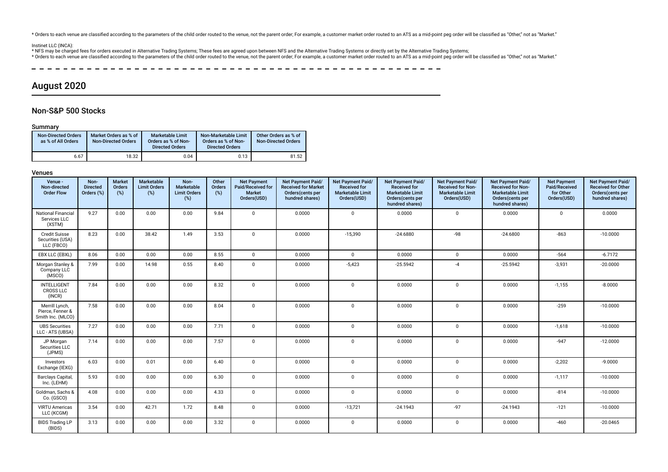\* Orders to each venue are classified according to the parameters of the child order routed to the venue, not the parent order; For example, a customer market order routed to an ATS as a mid-point peg order will be classif

Instinet LLC (INCA):<br>\* NFS may be charged fees for orders executed in Alternative Trading Systems; These fees are agreed upon between NFS and the Alternative Trading Systems or directly set by the Alternative Trading Syste

\* Orders to each venue are classified according to the parameters of the child order routed to the venue, not the parent order. For example, a customer market order routed to an ATS as a mid-point ped order will be classif

 $\overline{\phantom{a}}$ 

# August 2020

# Non-S&P 500 Stocks

### Summary

| <b>Non-Directed Orders</b><br>as % of All Orders | Market Orders as % of<br><b>Non-Directed Orders</b> | <b>Marketable Limit</b><br>Orders as % of Non-<br><b>Directed Orders</b> | Non-Marketable Limit<br>Orders as % of Non-<br><b>Directed Orders</b> | Other Orders as % of<br><b>Non-Directed Orders</b> |
|--------------------------------------------------|-----------------------------------------------------|--------------------------------------------------------------------------|-----------------------------------------------------------------------|----------------------------------------------------|
| 6.67                                             | 18.32                                               | 0.04                                                                     | 0.13                                                                  | 81.52                                              |

| Venue -<br>Non-directed<br><b>Order Flow</b>            | Non-<br><b>Directed</b><br>Orders (%) | <b>Market</b><br>Orders<br>(%) | Marketable<br><b>Limit Orders</b><br>(%) | Non-<br>Marketable<br><b>Limit Orders</b><br>(%) | Other<br>Orders<br>(%) | <b>Net Payment</b><br>Paid/Received for<br>Market<br>Orders(USD) | <b>Net Payment Paid/</b><br><b>Received for Market</b><br>Orders(cents per<br>hundred shares) | Net Payment Paid/<br><b>Received for</b><br><b>Marketable Limit</b><br>Orders(USD) | Net Payment Paid/<br><b>Received for</b><br><b>Marketable Limit</b><br>Orders(cents per<br>hundred shares) | Net Payment Paid/<br><b>Received for Non-</b><br><b>Marketable Limit</b><br>Orders(USD) | <b>Net Payment Paid/</b><br><b>Received for Non-</b><br><b>Marketable Limit</b><br>Orders(cents per<br>hundred shares) | <b>Net Payment</b><br>Paid/Received<br>for Other<br>Orders(USD) | Net Payment Paid/<br><b>Received for Other</b><br>Orders(cents per<br>hundred shares) |
|---------------------------------------------------------|---------------------------------------|--------------------------------|------------------------------------------|--------------------------------------------------|------------------------|------------------------------------------------------------------|-----------------------------------------------------------------------------------------------|------------------------------------------------------------------------------------|------------------------------------------------------------------------------------------------------------|-----------------------------------------------------------------------------------------|------------------------------------------------------------------------------------------------------------------------|-----------------------------------------------------------------|---------------------------------------------------------------------------------------|
| <b>National Financial</b><br>Services LLC<br>(XSTM)     | 9.27                                  | 0.00                           | 0.00                                     | 0.00                                             | 9.84                   | $\mathbf 0$                                                      | 0.0000                                                                                        | $\mathbf 0$                                                                        | 0.0000                                                                                                     | $\mathbf{0}$                                                                            | 0.0000                                                                                                                 | $\mathbf 0$                                                     | 0.0000                                                                                |
| <b>Credit Suisse</b><br>Securities (USA)<br>LLC (FBCO)  | 8.23                                  | 0.00                           | 38.42                                    | 1.49                                             | 3.53                   | $\mathbf 0$                                                      | 0.0000                                                                                        | $-15,390$                                                                          | $-24.6880$                                                                                                 | $-98$                                                                                   | $-24.6800$                                                                                                             | $-863$                                                          | $-10.0000$                                                                            |
| EBX LLC (EBXL)                                          | 8.06                                  | 0.00                           | 0.00                                     | 0.00                                             | 8.55                   | $\mathbf{0}$                                                     | 0.0000                                                                                        | $\mathbf{0}$                                                                       | 0.0000                                                                                                     | $\mathbf{0}$                                                                            | 0.0000                                                                                                                 | $-564$                                                          | $-6.7172$                                                                             |
| Morgan Stanley &<br>Company LLC<br>(MSCO)               | 7.99                                  | 0.00                           | 14.98                                    | 0.55                                             | 8.40                   | $\mathbf 0$                                                      | 0.0000                                                                                        | $-5,423$                                                                           | $-25.5942$                                                                                                 | $-4$                                                                                    | $-25.5942$                                                                                                             | $-3,931$                                                        | $-20.0000$                                                                            |
| <b>INTELLIGENT</b><br><b>CROSS LLC</b><br>(INCR)        | 7.84                                  | 0.00                           | 0.00                                     | 0.00                                             | 8.32                   | $\mathbf 0$                                                      | 0.0000                                                                                        | $\mathbf{0}$                                                                       | 0.0000                                                                                                     | $\mathbf 0$                                                                             | 0.0000                                                                                                                 | $-1,155$                                                        | $-8.0000$                                                                             |
| Merrill Lynch,<br>Pierce, Fenner &<br>Smith Inc. (MLCO) | 7.58                                  | 0.00                           | 0.00                                     | 0.00                                             | 8.04                   | $\mathbf 0$                                                      | 0.0000                                                                                        | $\mathbf 0$                                                                        | 0.0000                                                                                                     | $\mathbf 0$                                                                             | 0.0000                                                                                                                 | $-259$                                                          | $-10.0000$                                                                            |
| <b>UBS Securities</b><br>LLC - ATS (UBSA)               | 7.27                                  | 0.00                           | 0.00                                     | 0.00                                             | 7.71                   | $\mathbf 0$                                                      | 0.0000                                                                                        | $\mathbf 0$                                                                        | 0.0000                                                                                                     | $\mathbf 0$                                                                             | 0.0000                                                                                                                 | $-1,618$                                                        | $-10.0000$                                                                            |
| JP Morgan<br>Securities LLC<br>(JPMS)                   | 7.14                                  | 0.00                           | 0.00                                     | 0.00                                             | 7.57                   | $\mathbf 0$                                                      | 0.0000                                                                                        | $\mathbf 0$                                                                        | 0.0000                                                                                                     | $\mathbf 0$                                                                             | 0.0000                                                                                                                 | $-947$                                                          | $-12.0000$                                                                            |
| Investors<br>Exchange (IEXG)                            | 6.03                                  | 0.00                           | 0.01                                     | 0.00                                             | 6.40                   | $\mathbf 0$                                                      | 0.0000                                                                                        | $\mathbf 0$                                                                        | 0.0000                                                                                                     | $\mathbf 0$                                                                             | 0.0000                                                                                                                 | $-2,202$                                                        | $-9.0000$                                                                             |
| Barclays Capital,<br>Inc. (LEHM)                        | 5.93                                  | 0.00                           | 0.00                                     | 0.00                                             | 6.30                   | $\mathbf 0$                                                      | 0.0000                                                                                        | $\mathbf 0$                                                                        | 0.0000                                                                                                     | $\mathbf 0$                                                                             | 0.0000                                                                                                                 | $-1,117$                                                        | $-10.0000$                                                                            |
| Goldman, Sachs &<br>Co. (GSCO)                          | 4.08                                  | 0.00                           | 0.00                                     | 0.00                                             | 4.33                   | $\mathbf{0}$                                                     | 0.0000                                                                                        | $\mathbf 0$                                                                        | 0.0000                                                                                                     | $\mathbf{0}$                                                                            | 0.0000                                                                                                                 | $-814$                                                          | $-10.0000$                                                                            |
| <b>VIRTU Americas</b><br>LLC (KCGM)                     | 3.54                                  | 0.00                           | 42.71                                    | 1.72                                             | 8.48                   | $\mathbf 0$                                                      | 0.0000                                                                                        | $-13,721$                                                                          | $-24.1943$                                                                                                 | $-97$                                                                                   | $-24.1943$                                                                                                             | $-121$                                                          | $-10.0000$                                                                            |
| <b>BIDS Trading LP</b><br>(BIDS)                        | 3.13                                  | 0.00                           | 0.00                                     | 0.00                                             | 3.32                   | $\mathbf 0$                                                      | 0.0000                                                                                        | $\mathbf 0$                                                                        | 0.0000                                                                                                     | $\mathbf 0$                                                                             | 0.0000                                                                                                                 | $-460$                                                          | $-20.0465$                                                                            |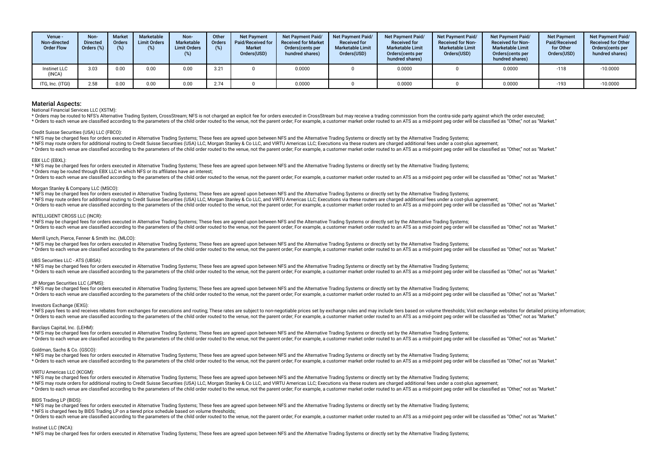| Venue -<br>Non-directed<br><b>Order Flow</b> | Non-<br><b>Directed</b><br>Orders $(\%)$ | <b>Market</b><br><b>Orders</b><br>(%) | Marketable<br><b>Limit Orders</b><br>(%) | Non-<br>Marketable<br><b>Limit Orders</b><br>(%) | Other<br><b>Orders</b><br>(% ) | <b>Net Payment</b><br>Paid/Received for<br><b>Market</b><br>Orders(USD) | <b>Net Payment Paid/</b><br><b>Received for Market</b><br>Orders (cents per<br>hundred shares) | <b>Net Payment Paid/</b><br><b>Received for</b><br><b>Marketable Limit</b><br>Orders(USD) | <b>Net Payment Paid/</b><br><b>Received for</b><br><b>Marketable Limit</b><br>Orders (cents per<br>hundred shares) | Net Payment Paid/<br><b>Received for Non-</b><br><b>Marketable Limit</b><br>Orders(USD) | <b>Net Payment Paid/</b><br><b>Received for Non-</b><br><b>Marketable Limit</b><br>Orders(cents per<br>hundred shares) | <b>Net Payment</b><br>Paid/Received<br>for Other<br>Orders(USD) | <b>Net Payment Paid/</b><br><b>Received for Other</b><br>Orders(cents per<br>hundred shares) |
|----------------------------------------------|------------------------------------------|---------------------------------------|------------------------------------------|--------------------------------------------------|--------------------------------|-------------------------------------------------------------------------|------------------------------------------------------------------------------------------------|-------------------------------------------------------------------------------------------|--------------------------------------------------------------------------------------------------------------------|-----------------------------------------------------------------------------------------|------------------------------------------------------------------------------------------------------------------------|-----------------------------------------------------------------|----------------------------------------------------------------------------------------------|
| <b>Instinet LLC</b><br>(INCA)                | 3.03                                     | 0.00                                  | 0.00                                     | 0.00                                             | 3.21                           |                                                                         | 0.0000                                                                                         |                                                                                           | 0.0000                                                                                                             |                                                                                         | 0.0000                                                                                                                 | $-118$                                                          | $-10.0000$                                                                                   |
| ITG, Inc. (ITGI)                             | 2.58                                     | 0.00                                  | 0.00                                     | 0.00                                             | 2.74                           |                                                                         | 0.0000                                                                                         |                                                                                           | 0.0000                                                                                                             |                                                                                         | 0.0000                                                                                                                 | $-193$                                                          | $-10.0000$                                                                                   |

#### National Financial Services LLC (XSTM):

\* Orders may be routed to NFS's Alternative Trading System, CrossStream; NFS is not charged an explicit fee for orders executed in CrossStream but may receive a trading commission from the contra-side party against which t

\* Orders to each venue are classified according to the parameters of the child order routed to the venue, not the parent order. For example, a customer market order routed to an ATS as a mid-point peg order will be classif

#### Credit Suisse Securities (USA) LLC (FBCO):

\* NFS may be charged fees for orders executed in Alternative Trading Systems; These fees are agreed upon between NFS and the Alternative Trading Systems or directly set by the Alternative Trading Systems;

\* NFS may route orders for additional routing to Credit Suisse Securities (USA) LLC, Morgan Stanley & Co LLC, and VIRTU Americas LLC; Executions via these routers are charged additional fees under a cost-plus agreement;

\* Orders to each venue are classified according to the parameters of the child order routed to the venue, not the parent order. For example, a customer market order routed to an ATS as a mid-point peg order will be classif

#### EBX LLC (EBXL):

\* NFS may be charged fees for orders executed in Alternative Trading Systems; These fees are agreed upon between NFS and the Alternative Trading Systems or directly set by the Alternative Trading Systems;

\* Orders may be routed through EBX LLC in which NFS or its affliates have an interest;

\* Orders to each venue are classified according to the parameters of the child order routed to the venue, not the parent order; For example, a customer market order routed to an ATS as a mid-point peg order will be classif

#### Morgan Stanley & Company LLC (MSCO):

\* NFS may be charged fees for orders executed in Alternative Trading Systems; These fees are agreed upon between NFS and the Alternative Trading Systems or directly set by the Alternative Trading Systems;

\* NFS may route orders for additional routing to Credit Suisse Securities (USA) LLC, Morgan Stanley & Co LLC, and VIRTU Americas LLC; Executions via these routers are charged additional fees under a cost-plus agreement;

\* Orders to each venue are classified according to the parameters of the child order routed to the venue, not the parent order. For example, a customer market order routed to an ATS as a mid-point peg order will be classif

#### INTELLIGENT CROSS LLC (INCR):

\* NFS may be charged fees for orders executed in Alternative Trading Systems; These fees are agreed upon between NFS and the Alternative Trading Systems or directly set by the Alternative Trading Systems;

\* Orders to each venue are classified according to the parameters of the child order routed to the venue, not the parent order; For example, a customer market order routed to an ATS as a mid-point peg order will be classif

#### Merrill Lynch, Pierce, Fenner & Smith Inc. (MLCO):

\* NFS may be charged fees for orders executed in Alternative Trading Systems; These fees are agreed upon between NFS and the Alternative Trading Systems or directly set by the Alternative Trading Systems;

\* Orders to each venue are classified according to the parameters of the child order routed to the venue, not the parent order; For example, a customer market order routed to an ATS as a mid-point peq order will be classif

#### UBS Securities LLC - ATS (UBSA):

\* NFS may be charged fees for orders executed in Alternative Trading Systems; These fees are agreed upon between NFS and the Alternative Trading Systems or directly set by the Alternative Trading Systems;

\* Orders to each venue are classified according to the parameters of the child order routed to the venue, not the parent order. For example, a customer market order routed to an ATS as a mid-point ped order will be classif

#### JP Morgan Securities LLC (JPMS):

\* NFS may be charged fees for orders executed in Alternative Trading Systems; These fees are agreed upon between NFS and the Alternative Trading Systems or directly set by the Alternative Trading Systems; \* Orders to each venue are classified according to the parameters of the child order routed to the venue, not the parent order. For example, a customer market order routed to an ATS as a mid-point peg order will be classif

#### Investors Exchange (IEXG):

\* NFS pays fees to and receives rebates from exchanges for executions and routing; These rates are subject to non-negotiable prices set by exchange rules and may include tiers based on volume thresholds; Visit exchange web \* Orders to each venue are classified according to the parameters of the child order routed to the yenue not the narent order. For example a customer market order routed to an ATS as a mid-point peo order will be classifie

#### Barclays Capital, Inc. (LEHM):

\* NFS may be charged fees for orders executed in Alternative Trading Systems; These fees are agreed upon between NFS and the Alternative Trading Systems or directly set by the Alternative Trading Systems; \* Orders to each venue are classified according to the parameters of the child order routed to the venue, not the parent order. For example, a customer market order routed to an ATS as a mid-point ped order will be classif

#### Goldman, Sachs & Co. (GSCO):

\* NFS may be charged fees for orders executed in Alternative Trading Systems; These fees are agreed upon between NFS and the Alternative Trading Systems or directly set by the Alternative Trading Systems;

order policy of the control of the control of the control of the control of the control of the child order routed to the venue, not the parent order. For example, a customer market order routed to an ATS as a mid-point peq

#### VIRTU Americas LLC (KCGM):

\* NFS may be charged fees for orders executed in Alternative Trading Systems; These fees are agreed upon between NFS and the Alternative Trading Systems or directly set by the Alternative Trading Systems;

\* NFS may route orders for additional routing to Credit Suisse Securities (USA) LLC, Morgan Stanley & Co LLC, and VIRTU Americas LLC; Executions via these routers are charged additional fees under a cost-plus agreement;

reference to the contract of the child order puted to the venue and the parent order. For example a customer market order routed to an ATS as a mid-point peg order will be classified as "Other" not as "Narket".

### BIDS Trading LP (BIDS):

\* NFS may be charged fees for orders executed in Alternative Trading Systems; These fees are agreed upon between NFS and the Alternative Trading Systems or directly set by the Alternative Trading Systems;

\* NFS is charged fees by BIDS Trading LP on a tiered price schedule based on volume thresholds;

\* Orders to each venue are classified according to the parameters of the child order routed to the venue, not the parent order; For example, a customer market order routed to an ATS as a mid-point peq order will be classif

#### Instinet LLC (INCA):

\* NFS may be charged fees for orders executed in Alternative Trading Systems; These fees are agreed upon between NFS and the Alternative Trading Systems or directly set by the Alternative Trading Systems;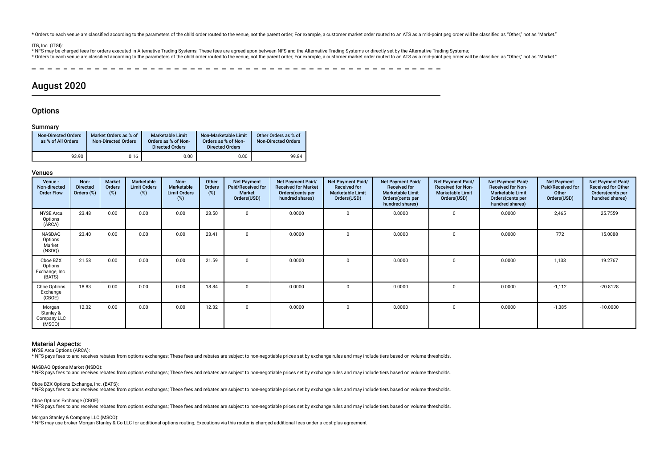\* Orders to each venue are classified according to the parameters of the child order routed to the venue, not the parent order; For example, a customer market order routed to an ATS as a mid-point peq order will be classif

#### ITG, Inc. (ITGI):

\* NFS may be charged fees for orders executed in Alternative Trading Systems; These fees are agreed upon between NFS and the Alternative Trading Systems or directly set by the Alternative Trading Systems;

\* Orders to each venue are classified according to the parameters of the child order routed to the venue, not the parent order. For example, a customer market order routed to an ATS as a mid-point ped order will be classif

# August 2020

# **Options**

#### Summary

| <b>Non-Directed Orders</b><br>as % of All Orders | Market Orders as % of<br>Non-Directed Orders | <b>Marketable Limit</b><br>Orders as % of Non-<br><b>Directed Orders</b> | Non-Marketable Limit<br>Orders as % of Non-<br><b>Directed Orders</b> | Other Orders as % of<br><b>Non-Directed Orders</b> |
|--------------------------------------------------|----------------------------------------------|--------------------------------------------------------------------------|-----------------------------------------------------------------------|----------------------------------------------------|
| 93.90                                            | 0.16                                         | 0.00                                                                     | 0.00                                                                  | 99.84                                              |

# Venues

| Venue -<br>Non-directed<br><b>Order Flow</b>    | Non-<br><b>Directed</b><br>Orders (%) | <b>Market</b><br><b>Orders</b><br>$(\%)$ | Marketable<br><b>Limit Orders</b><br>(%) | Non-<br><b>Marketable</b><br><b>Limit Orders</b><br>(%) | Other<br>Orders<br>(%) | <b>Net Payment</b><br>Paid/Received for<br><b>Market</b><br>Orders(USD) | <b>Net Payment Paid/</b><br><b>Received for Market</b><br>Orders(cents per<br>hundred shares) | Net Payment Paid/<br><b>Received for</b><br><b>Marketable Limit</b><br>Orders(USD) | Net Payment Paid/<br><b>Received for</b><br><b>Marketable Limit</b><br>Orders (cents per<br>hundred shares) | Net Payment Paid/<br><b>Received for Non-</b><br><b>Marketable Limit</b><br>Orders(USD) | <b>Net Payment Paid/</b><br><b>Received for Non-</b><br><b>Marketable Limit</b><br>Orders(cents per<br>hundred shares) | <b>Net Payment</b><br>Paid/Received for<br>Other<br>Orders(USD) | Net Payment Paid/<br><b>Received for Other</b><br>Orders (cents per<br>hundred shares) |
|-------------------------------------------------|---------------------------------------|------------------------------------------|------------------------------------------|---------------------------------------------------------|------------------------|-------------------------------------------------------------------------|-----------------------------------------------------------------------------------------------|------------------------------------------------------------------------------------|-------------------------------------------------------------------------------------------------------------|-----------------------------------------------------------------------------------------|------------------------------------------------------------------------------------------------------------------------|-----------------------------------------------------------------|----------------------------------------------------------------------------------------|
| <b>NYSE</b> Arca<br>Options<br>(ARCA)           | 23.48                                 | 0.00                                     | 0.00                                     | 0.00                                                    | 23.50                  | $\mathbf{0}$                                                            | 0.0000                                                                                        | $\Omega$                                                                           | 0.0000                                                                                                      | $\Omega$                                                                                | 0.0000                                                                                                                 | 2,465                                                           | 25.7559                                                                                |
| NASDAQ<br>Options<br>Market<br>(NSDQ)           | 23.40                                 | 0.00                                     | 0.00                                     | 0.00                                                    | 23.41                  | $\Omega$                                                                | 0.0000                                                                                        | $\Omega$                                                                           | 0.0000                                                                                                      | $\Omega$                                                                                | 0.0000                                                                                                                 | 772                                                             | 15.0088                                                                                |
| Cboe BZX<br>Options<br>Exchange, Inc.<br>(BATS) | 21.58                                 | 0.00                                     | 0.00                                     | 0.00                                                    | 21.59                  | $\Omega$                                                                | 0.0000                                                                                        |                                                                                    | 0.0000                                                                                                      | $\Omega$                                                                                | 0.0000                                                                                                                 | 1,133                                                           | 19.2767                                                                                |
| Cboe Options<br>Exchange<br>(CBOE)              | 18.83                                 | 0.00                                     | 0.00                                     | 0.00                                                    | 18.84                  | $\Omega$                                                                | 0.0000                                                                                        |                                                                                    | 0.0000                                                                                                      | $\mathbf 0$                                                                             | 0.0000                                                                                                                 | $-1,112$                                                        | $-20.8128$                                                                             |
| Morgan<br>Stanley &<br>Company LLC<br>(MSCO)    | 12.32                                 | 0.00                                     | 0.00                                     | 0.00                                                    | 12.32                  | $\Omega$                                                                | 0.0000                                                                                        |                                                                                    | 0.0000                                                                                                      | 0                                                                                       | 0.0000                                                                                                                 | $-1,385$                                                        | $-10.0000$                                                                             |

### Material Aspects:

NYSE Arca Options (ARCA):

\* NFS pays fees to and receives rebates from options exchanges; These fees and rebates are subject to non-negotiable prices set by exchange rules and may include tiers based on volume thresholds.

#### NASDAQ Options Market (NSDQ):

\* NFS pays fees to and receives rebates from options exchanges; These fees and rebates are subject to non-negotiable prices set by exchange rules and may include tiers based on volume thresholds.

#### Cboe BZX Options Exchange, Inc. (BATS): \* NFS pays fees to and receives rebates from options exchanges; These fees and rebates are subject to non-negotiable prices set by exchange rules and may include tiers based on volume thresholds.

Cboe Options Exchange (CBOE):

\* NFS pays fees to and receives rebates from options exchanges; These fees and rebates are subject to non-negotiable prices set by exchange rules and may include tiers based on volume thresholds.

#### Morgan Stanley & Company LLC (MSCO):

\* NFS may use broker Morgan Stanley & Co LLC for additional options routing; Executions via this router is charged additional fees under a cost-plus agreement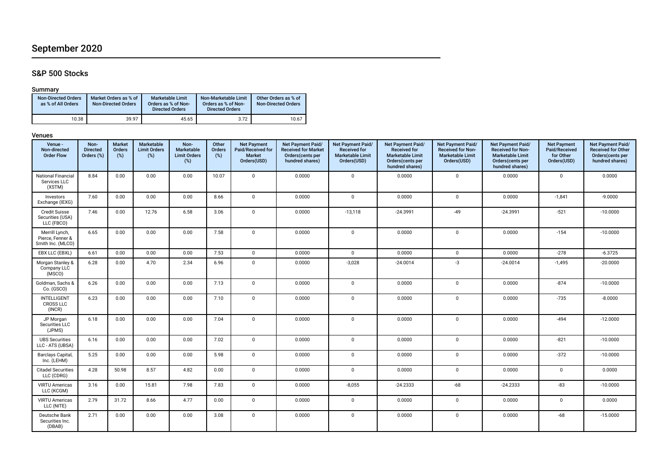# September 2020

# S&P 500 Stocks

# Summary

| <b>Non-Directed Orders</b><br>as % of All Orders | Market Orders as % of<br><b>Non-Directed Orders</b> | Marketable Limit<br>Orders as % of Non-<br><b>Directed Orders</b> | Non-Marketable Limit<br>Orders as % of Non-<br><b>Directed Orders</b> | Other Orders as % of<br><b>Non-Directed Orders</b> |
|--------------------------------------------------|-----------------------------------------------------|-------------------------------------------------------------------|-----------------------------------------------------------------------|----------------------------------------------------|
| 10.38                                            | 39.97                                               | 45.65                                                             | 3.72                                                                  | 10.67                                              |

| Venue -<br>Non-directed<br><b>Order Flow</b>            | Non-<br><b>Directed</b><br>Orders (%) | <b>Market</b><br>Orders<br>$(\%)$ | Marketable<br><b>Limit Orders</b><br>$(\%)$ | Non-<br>Marketable<br><b>Limit Orders</b><br>(%) | Other<br>Orders<br>(%) | <b>Net Payment</b><br>Paid/Received for<br><b>Market</b><br>Orders(USD) | Net Payment Paid/<br><b>Received for Market</b><br>Orders(cents per<br>hundred shares) | Net Payment Paid/<br><b>Received for</b><br><b>Marketable Limit</b><br>Orders(USD) | Net Payment Paid/<br><b>Received for</b><br><b>Marketable Limit</b><br>Orders(cents per<br>hundred shares) | Net Payment Paid/<br><b>Received for Non-</b><br><b>Marketable Limit</b><br>Orders(USD) | Net Payment Paid/<br>Received for Non-<br><b>Marketable Limit</b><br>Orders (cents per<br>hundred shares) | <b>Net Payment</b><br>Paid/Received<br>for Other<br>Orders(USD) | Net Payment Paid/<br><b>Received for Other</b><br>Orders(cents per<br>hundred shares) |
|---------------------------------------------------------|---------------------------------------|-----------------------------------|---------------------------------------------|--------------------------------------------------|------------------------|-------------------------------------------------------------------------|----------------------------------------------------------------------------------------|------------------------------------------------------------------------------------|------------------------------------------------------------------------------------------------------------|-----------------------------------------------------------------------------------------|-----------------------------------------------------------------------------------------------------------|-----------------------------------------------------------------|---------------------------------------------------------------------------------------|
| National Financial<br>Services LLC<br>(XSTM)            | 8.84                                  | 0.00                              | 0.00                                        | 0.00                                             | 10.07                  | $\mathsf 0$                                                             | 0.0000                                                                                 | $\mathbf{0}$                                                                       | 0.0000                                                                                                     | $\mathsf 0$                                                                             | 0.0000                                                                                                    | $\mathbf 0$                                                     | 0.0000                                                                                |
| Investors<br>Exchange (IEXG)                            | 7.60                                  | 0.00                              | 0.00                                        | 0.00                                             | 8.66                   | $\mathbf{0}$                                                            | 0.0000                                                                                 | $\mathbf 0$                                                                        | 0.0000                                                                                                     | $\mathbf 0$                                                                             | 0.0000                                                                                                    | $-1,841$                                                        | $-9.0000$                                                                             |
| <b>Credit Suisse</b><br>Securities (USA)<br>LLC (FBCO)  | 7.46                                  | 0.00                              | 12.76                                       | 6.58                                             | 3.06                   | $\mathsf 0$                                                             | 0.0000                                                                                 | $-13,118$                                                                          | $-24.3991$                                                                                                 | $-49$                                                                                   | $-24.3991$                                                                                                | $-521$                                                          | $-10.0000$                                                                            |
| Merrill Lynch,<br>Pierce, Fenner &<br>Smith Inc. (MLCO) | 6.65                                  | 0.00                              | 0.00                                        | 0.00                                             | 7.58                   | $\mathbf 0$                                                             | 0.0000                                                                                 | $\mathsf 0$                                                                        | 0.0000                                                                                                     | $\mathbf 0$                                                                             | 0.0000                                                                                                    | $-154$                                                          | $-10.0000$                                                                            |
| EBX LLC (EBXL)                                          | 6.61                                  | 0.00                              | 0.00                                        | 0.00                                             | 7.53                   | $\mathbf{0}$                                                            | 0.0000                                                                                 | $\mathbf 0$                                                                        | 0.0000                                                                                                     | $\mathbf{0}$                                                                            | 0.0000                                                                                                    | $-278$                                                          | $-6.3725$                                                                             |
| Morgan Stanley &<br>Company LLC<br>(MSCO)               | 6.28                                  | 0.00                              | 4.70                                        | 2.34                                             | 6.96                   | $\mathbf 0$                                                             | 0.0000                                                                                 | $-3,028$                                                                           | $-24.0014$                                                                                                 | -3                                                                                      | $-24.0014$                                                                                                | $-1,495$                                                        | $-20.0000$                                                                            |
| Goldman, Sachs &<br>Co. (GSCO)                          | 6.26                                  | 0.00                              | 0.00                                        | 0.00                                             | 7.13                   | $\mathbf 0$                                                             | 0.0000                                                                                 | $\mathbf 0$                                                                        | 0.0000                                                                                                     | $\mathbf 0$                                                                             | 0.0000                                                                                                    | $-874$                                                          | $-10.0000$                                                                            |
| <b>INTELLIGENT</b><br><b>CROSS LLC</b><br>(INCR)        | 6.23                                  | 0.00                              | 0.00                                        | 0.00                                             | 7.10                   | $\mathbf 0$                                                             | 0.0000                                                                                 | $\mathsf 0$                                                                        | 0.0000                                                                                                     | $\mathbf 0$                                                                             | 0.0000                                                                                                    | $-735$                                                          | $-8.0000$                                                                             |
| JP Morgan<br>Securities LLC<br>(JPMS)                   | 6.18                                  | 0.00                              | 0.00                                        | 0.00                                             | 7.04                   | $\mathbf 0$                                                             | 0.0000                                                                                 | $\mathbf 0$                                                                        | 0.0000                                                                                                     | $\mathbf 0$                                                                             | 0.0000                                                                                                    | $-494$                                                          | $-12.0000$                                                                            |
| <b>UBS Securities</b><br>LLC - ATS (UBSA)               | 6.16                                  | 0.00                              | 0.00                                        | 0.00                                             | 7.02                   | $\mathbf 0$                                                             | 0.0000                                                                                 | $\mathbf 0$                                                                        | 0.0000                                                                                                     | $\mathbf 0$                                                                             | 0.0000                                                                                                    | $-821$                                                          | $-10.0000$                                                                            |
| Barclays Capital,<br>Inc. (LEHM)                        | 5.25                                  | 0.00                              | 0.00                                        | 0.00                                             | 5.98                   | $\mathbf 0$                                                             | 0.0000                                                                                 | $\mathbf 0$                                                                        | 0.0000                                                                                                     | $\mathbf{0}$                                                                            | 0.0000                                                                                                    | $-372$                                                          | $-10.0000$                                                                            |
| <b>Citadel Securities</b><br>LLC (CDRG)                 | 4.28                                  | 50.98                             | 8.57                                        | 4.82                                             | 0.00                   | $\mathbf 0$                                                             | 0.0000                                                                                 | $\mathbf 0$                                                                        | 0.0000                                                                                                     | $\mathbf 0$                                                                             | 0.0000                                                                                                    | $\mathbf{0}$                                                    | 0.0000                                                                                |
| <b>VIRTU Americas</b><br>LLC (KCGM)                     | 3.16                                  | 0.00                              | 15.81                                       | 7.98                                             | 7.83                   | $\mathbf 0$                                                             | 0.0000                                                                                 | $-8,055$                                                                           | $-24.2333$                                                                                                 | $-68$                                                                                   | $-24.2333$                                                                                                | $-83$                                                           | $-10.0000$                                                                            |
| <b>VIRTU Americas</b><br>LLC (NITE)                     | 2.79                                  | 31.72                             | 8.66                                        | 4.77                                             | 0.00                   | $\mathbf 0$                                                             | 0.0000                                                                                 | $\mathsf 0$                                                                        | 0.0000                                                                                                     | $\mathbf 0$                                                                             | 0.0000                                                                                                    | $\mathbf 0$                                                     | 0.0000                                                                                |
| Deutsche Bank<br>Securities Inc.<br>(DBAB)              | 2.71                                  | 0.00                              | 0.00                                        | 0.00                                             | 3.08                   | $\mathbf 0$                                                             | 0.0000                                                                                 | $\mathbf 0$                                                                        | 0.0000                                                                                                     | $\mathbf 0$                                                                             | 0.0000                                                                                                    | $-68$                                                           | $-15.0000$                                                                            |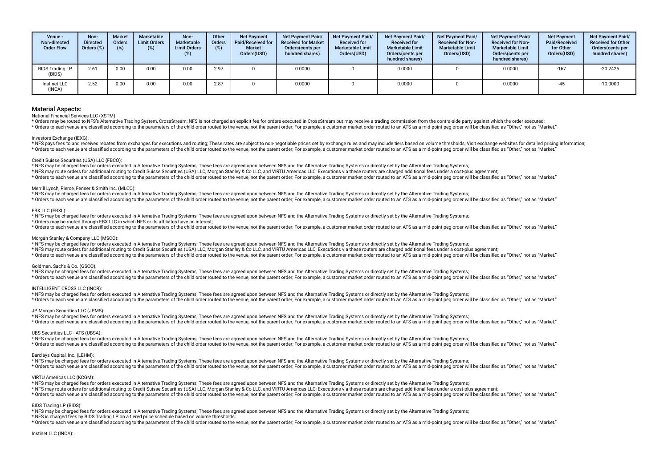| Venue -<br>Non-directed<br><b>Order Flow</b> | Non-<br><b>Directed</b><br>Orders $(\%)$ | <b>Market</b><br>Orders<br>$(\%)$ | Marketable<br><b>Limit Orders</b><br>(%) | Non-<br><b>Marketable</b><br><b>Limit Orders</b><br>(%) | Other<br><b>Orders</b><br>(%) | <b>Net Payment</b><br>Paid/Received for<br><b>Market</b><br>Orders(USD) | <b>Net Payment Paid/</b><br><b>Received for Market</b><br>Orders(cents per<br>hundred shares) | <b>Net Payment Paid/</b><br><b>Received for</b><br><b>Marketable Limit</b><br>Orders(USD) | <b>Net Payment Paid/</b><br><b>Received for</b><br><b>Marketable Limit</b><br>Orders(cents per<br>hundred shares) | <b>Net Payment Paid/</b><br><b>Received for Non-</b><br><b>Marketable Limit</b><br>Orders(USD) | Net Payment Paid/<br><b>Received for Non-</b><br><b>Marketable Limit</b><br>Orders(cents per<br>hundred shares) | <b>Net Payment</b><br>Paid/Received<br>for Other<br>Orders(USD) | <b>Net Payment Paid/</b><br><b>Received for Other</b><br>Orders(cents per<br>hundred shares) |
|----------------------------------------------|------------------------------------------|-----------------------------------|------------------------------------------|---------------------------------------------------------|-------------------------------|-------------------------------------------------------------------------|-----------------------------------------------------------------------------------------------|-------------------------------------------------------------------------------------------|-------------------------------------------------------------------------------------------------------------------|------------------------------------------------------------------------------------------------|-----------------------------------------------------------------------------------------------------------------|-----------------------------------------------------------------|----------------------------------------------------------------------------------------------|
| <b>BIDS Trading LP</b><br>(BIDS)             | 2.61                                     | 0.00                              | 0.00                                     | 0.00                                                    | 2.97                          |                                                                         | 0.0000                                                                                        |                                                                                           | 0.0000                                                                                                            |                                                                                                | 0.0000                                                                                                          | $-167$                                                          | $-20.2425$                                                                                   |
| <b>Instinet LLC</b><br>(INCA)                | 2.52                                     | 0.00                              | 0.00                                     | 0.00                                                    | 2.87                          |                                                                         | 0.0000                                                                                        |                                                                                           | 0.0000                                                                                                            |                                                                                                | 0.0000                                                                                                          | $-45$                                                           | $-10.0000$                                                                                   |

National Financial Services LLC (XSTM):

\* Orders may be routed to NES's Alternative Trading System. CrossStream: NES is not charged an explicit fee for orders executed in CrossStream but may receive a trading commission from the contra-side party against which t \* Orders to each venue are classified according to the parameters of the child order routed to the venue, not the parent order; For example, a customer market order routed to an ATS as a mid-point peq order will be classif

#### Investors Exchange (IEXG)

\* NFS pays fees to and receives rebates from exchanges for executions and routing; These rates are subject to non-negotiable prices set by exchange rules and may include tiers based on volume thresholds; Visit exchange web \* Orders to each venue are classified according to the parameters of the child order routed to the venue, not the parent order; For example, a customer market order routed to an ATS as a mid-point peg order will be classif

#### Credit Suisse Securities (USA) LLC (FBCO):

\* NFS may be charged fees for orders executed in Alternative Trading Systems; These fees are agreed upon between NFS and the Alternative Trading Systems or directly set by the Alternative Trading Systems;

\* NFS may route orders for additional routing to Credit Suisse Securities (USA) LLC, Morgan Stanley & Co LLC, and VIRTU Americas LLC; Executions via these routers are charged additional fees under a cost-plus agreement;

\* Orders to each venue are classified according to the parameters of the child order routed to the venue, not the parent order; For example, a customer market order routed to an ATS as a mid-point peq order will be classif

#### Merrill Lynch, Pierce, Fenner & Smith Inc. (MLCO):

\* NFS may be charged fees for orders executed in Alternative Trading Systems; These fees are agreed upon between NFS and the Alternative Trading Systems or directly set by the Alternative Trading Systems;

\* Orders to each venue are classified according to the parameters of the child order routed to the venue, not the parent order. For example, a customer market order routed to an ATS as a mid-point ped order will be classif

#### EBX LLC (EBXL):

\* NFS may be charged fees for orders executed in Alternative Trading Systems; These fees are agreed upon between NFS and the Alternative Trading Systems or directly set by the Alternative Trading Systems;

\* Orders may be routed through EBX LLC in which NFS or its affliates have an interest;

recording to the parameters of the child order routed to the venue, not the parent order. For example, a customer market order routed to an ATS as a mid-point peg order will be classified as "Other," not as "Market,"

#### Morgan Stanley & Company LLC (MSCO):

\* NFS may be charged fees for orders executed in Alternative Trading Systems; These fees are agreed upon between NFS and the Alternative Trading Systems or directly set by the Alternative Trading Systems;

\* NFS may route orders for additional routing to Credit Suisse Securities (USA) LLC, Morgan Stanley & Co LLC, and VIRTU Americas LLC; Executions via these routers are charged additional fees under a cost-plus agreement;

\* Orders to each venue are classified according to the parameters of the child order routed to the venue, not the parent order. For example, a customer market order routed to an ATS as a mid-point peg order will be classif

#### Goldman, Sachs & Co. (GSCO):

\* NFS may be charged fees for orders executed in Alternative Trading Systems; These fees are agreed upon between NFS and the Alternative Trading Systems or directly set by the Alternative Trading Systems; \* Orders to each venue are classified according to the parameters of the child order routed to the venue, not the parent order; For example, a customer market order routed to an ATS as a mid-point peq order will be classif

#### INTELLIGENT CROSS LLC (INCR):

\* NFS may be charged fees for orders executed in Alternative Trading Systems; These fees are agreed upon between NFS and the Alternative Trading Systems or directly set by the Alternative Trading Systems; \* Orders to each venue are classified according to the parameters of the child order routed to the venue, not the parent order. For example, a customer market order routed to an ATS as a mid-point ped order will be classif

#### JP Morgan Securities LLC (JPMS):

\* NFS may be charged fees for orders executed in Alternative Trading Systems; These fees are agreed upon between NFS and the Alternative Trading Systems or directly set by the Alternative Trading Systems; \* Orders to each venue are classified according to the parameters of the child order routed to the venue, not the parent order. For example, a customer market order routed to an ATS as a mid-point ped order will be classif

#### UBS Securities LLC - ATS (UBSA):

\* NFS may be charged fees for orders executed in Alternative Trading Systems; These fees are agreed upon between NFS and the Alternative Trading Systems or directly set by the Alternative Trading Systems; \* Orders to each venue are classified according to the parameters of the child order routed to the venue, not the parent order. For example, a customer market order routed to an ATS as a mid-point ped order will be classif

#### Barclays Capital, Inc. (LEHM):

\* NFS may be charged fees for orders executed in Alternative Trading Systems; These fees are agreed upon between NFS and the Alternative Trading Systems or directly set by the Alternative Trading Systems;

\* Orders to each venue are classified according to the parameters of the child order routed to the venue, not the parent order. For example, a customer market order routed to an ATS as a mid-point peg order will be classif

#### VIRTU Americas LLC (KCGM):

\* NFS may be charged fees for orders executed in Alternative Trading Systems; These fees are agreed upon between NFS and the Alternative Trading Systems or directly set by the Alternative Trading Systems;

\* NFS may route orders for additional routing to Credit Suisse Securities (USA) LLC, Morgan Stanley & Co LLC, and VIRTU Americas LLC; Executions via these routers are charged additional fees under a cost-plus agreement;

\* Orders to each venue are classified according to the parameters of the child order routed to the venue, not the parent order; For example, a customer market order routed to an ATS as a mid-point peg order will be classif

#### BIDS Trading LP (BIDS):

\* NFS may be charged fees for orders executed in Alternative Trading Systems; These fees are agreed upon between NFS and the Alternative Trading Systems or directly set by the Alternative Trading Systems;

\* NFS is charged fees by BIDS Trading LP on a tiered price schedule based on volume thresholds;

\* Orders to each venue are classified according to the parameters of the child order routed to the venue, not the parent order; For example, a customer market order routed to an ATS as a mid-point peg order will be classif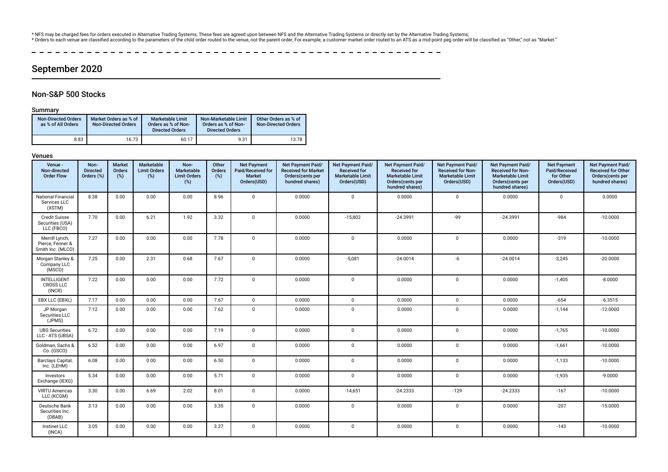\* NFS may be charged fees for orders executed in Alternative Trading Systems; These fees are agreed upon between NFS and the Alternative Trading Systems or directly set by the Alternative Trading Systems;<br>\* Orders to each

χ.  $\overline{\phantom{a}}$  $\frac{1}{2}$  $\sim$  $\frac{1}{2}$  $\sim$   $\sim$ --------------------

# September 2020

# Non-S&P 500 Stocks

# Summary

| <b>Non-Directed Orders</b><br>as % of All Orders | Market Orders as % of<br><b>Non-Directed Orders</b> | <b>Marketable Limit</b><br>Orders as % of Non-<br><b>Directed Orders</b> | Non-Marketable Limit<br>Orders as % of Non-<br><b>Directed Orders</b> | Other Orders as % of<br><b>Non-Directed Orders</b> |
|--------------------------------------------------|-----------------------------------------------------|--------------------------------------------------------------------------|-----------------------------------------------------------------------|----------------------------------------------------|
| 8.83                                             | 16.73                                               | 60.17                                                                    | 9.31                                                                  | 13.78                                              |

| Venue -<br>Non-directed<br><b>Order Flow</b>            | Non-<br><b>Directed</b><br>Orders (%) | <b>Market</b><br><b>Orders</b><br>(%) | Marketable<br><b>Limit Orders</b><br>(%) | Non-<br>Marketable<br><b>Limit Orders</b><br>(%) | Other<br><b>Orders</b><br>(%) | <b>Net Payment</b><br>Paid/Received for<br><b>Market</b><br>Orders(USD) | Net Payment Paid/<br><b>Received for Market</b><br>Orders(cents per<br>hundred shares) | Net Payment Paid/<br><b>Received for</b><br><b>Marketable Limit</b><br>Orders(USD) | Net Payment Paid/<br><b>Received for</b><br><b>Marketable Limit</b><br>Orders(cents per<br>hundred shares) | Net Payment Paid/<br>Received for Non-<br><b>Marketable Limit</b><br>Orders(USD) | Net Payment Paid/<br><b>Received for Non-</b><br><b>Marketable Limit</b><br>Orders(cents per<br>hundred shares) | <b>Net Payment</b><br>Paid/Received<br>for Other<br>Orders(USD) | Net Payment Paid/<br>Received for Other<br>Orders(cents per<br>hundred shares) |
|---------------------------------------------------------|---------------------------------------|---------------------------------------|------------------------------------------|--------------------------------------------------|-------------------------------|-------------------------------------------------------------------------|----------------------------------------------------------------------------------------|------------------------------------------------------------------------------------|------------------------------------------------------------------------------------------------------------|----------------------------------------------------------------------------------|-----------------------------------------------------------------------------------------------------------------|-----------------------------------------------------------------|--------------------------------------------------------------------------------|
| <b>National Financial</b><br>Services LLC<br>(XSTM)     | 8.38                                  | 0.00                                  | 0.00                                     | 0.00                                             | 8.96                          | $\mathbf{0}$                                                            | 0.0000                                                                                 | $\mathbf 0$                                                                        | 0.0000                                                                                                     | $\mathbf 0$                                                                      | 0.0000                                                                                                          | $\mathbf 0$                                                     | 0.0000                                                                         |
| <b>Credit Suisse</b><br>Securities (USA)<br>LLC (FBCO)  | 7.70                                  | 0.00                                  | 6.21                                     | 1.92                                             | 3.32                          | $\mathbf 0$                                                             | 0.0000                                                                                 | $-15,802$                                                                          | $-24.3991$                                                                                                 | -99                                                                              | $-24.3991$                                                                                                      | $-984$                                                          | $-10.0000$                                                                     |
| Merrill Lynch,<br>Pierce, Fenner &<br>Smith Inc. (MLCO) | 7.27                                  | 0.00                                  | 0.00                                     | 0.00                                             | 7.78                          | $\mathbf 0$                                                             | 0.0000                                                                                 | $\mathbf 0$                                                                        | 0.0000                                                                                                     | $\mathbf 0$                                                                      | 0.0000                                                                                                          | $-319$                                                          | $-10.0000$                                                                     |
| Morgan Stanley &<br>Company LLC<br>(MSCO)               | 7.25                                  | 0.00                                  | 2.31                                     | 0.68                                             | 7.67                          | $\mathbf 0$                                                             | 0.0000                                                                                 | $-5,081$                                                                           | $-24.0014$                                                                                                 | $-6$                                                                             | $-24.0014$                                                                                                      | $-3,245$                                                        | $-20.0000$                                                                     |
| INTELLIGENT<br><b>CROSS LLC</b><br>(INCR)               | 7.22                                  | 0.00                                  | 0.00                                     | 0.00                                             | 7.72                          | $\mathbf 0$                                                             | 0.0000                                                                                 | $\mathbf 0$                                                                        | 0.0000                                                                                                     | 0                                                                                | 0.0000                                                                                                          | $-1,405$                                                        | $-8.0000$                                                                      |
| EBX LLC (EBXL)                                          | 7.17                                  | 0.00                                  | 0.00                                     | 0.00                                             | 7.67                          | $\Omega$                                                                | 0.0000                                                                                 | $\Omega$                                                                           | 0.0000                                                                                                     | $\mathbf 0$                                                                      | 0.0000                                                                                                          | $-654$                                                          | $-6.3515$                                                                      |
| JP Morgan<br>Securities LLC<br>(JPMS)                   | 7.12                                  | 0.00                                  | 0.00                                     | 0.00                                             | 7.62                          | $\mathbf 0$                                                             | 0.0000                                                                                 | $\mathbf 0$                                                                        | 0.0000                                                                                                     | $\mathbf 0$                                                                      | 0.0000                                                                                                          | $-1,144$                                                        | $-12.0000$                                                                     |
| <b>UBS Securities</b><br>LLC - ATS (UBSA)               | 6.72                                  | 0.00                                  | 0.00                                     | 0.00                                             | 7.19                          | $\mathbf 0$                                                             | 0.0000                                                                                 | $\mathbf 0$                                                                        | 0.0000                                                                                                     | $\mathbf 0$                                                                      | 0.0000                                                                                                          | $-1,765$                                                        | $-10.0000$                                                                     |
| Goldman, Sachs &<br>Co. (GSCO)                          | 6.52                                  | 0.00                                  | 0.00                                     | 0.00                                             | 6.97                          | $\mathbf 0$                                                             | 0.0000                                                                                 | $\mathsf 0$                                                                        | 0.0000                                                                                                     | $\mathbf 0$                                                                      | 0.0000                                                                                                          | $-1,661$                                                        | $-10.0000$                                                                     |
| Barclays Capital,<br>Inc. (LEHM)                        | 6.08                                  | 0.00                                  | 0.00                                     | 0.00                                             | 6.50                          | $\mathbf 0$                                                             | 0.0000                                                                                 | $\mathbf 0$                                                                        | 0.0000                                                                                                     | $\mathbf 0$                                                                      | 0.0000                                                                                                          | $-1,133$                                                        | $-10.0000$                                                                     |
| Investors<br>Exchange (IEXG)                            | 5.34                                  | 0.00                                  | 0.00                                     | 0.00                                             | 5.71                          | $\mathbf 0$                                                             | 0.0000                                                                                 | $\Omega$                                                                           | 0.0000                                                                                                     | 0                                                                                | 0.0000                                                                                                          | $-1,935$                                                        | $-9.0000$                                                                      |
| <b>VIRTU Americas</b><br>LLC (KCGM)                     | 3.30                                  | 0.00                                  | 6.69                                     | 2.02                                             | 8.01                          | $\mathbf 0$                                                             | 0.0000                                                                                 | $-14,651$                                                                          | $-24.2333$                                                                                                 | $-129$                                                                           | $-24.2333$                                                                                                      | $-167$                                                          | $-10.0000$                                                                     |
| Deutsche Bank<br>Securities Inc.<br>(DBAB)              | 3.13                                  | 0.00                                  | 0.00                                     | 0.00                                             | 3.35                          | $\mathbf 0$                                                             | 0.0000                                                                                 | $\mathbf 0$                                                                        | 0.0000                                                                                                     | $\mathbf{0}$                                                                     | 0.0000                                                                                                          | $-207$                                                          | $-15.0000$                                                                     |
| <b>Instinet LLC</b><br>(INCA)                           | 3.05                                  | 0.00                                  | 0.00                                     | 0.00                                             | 3.27                          | $\mathbf 0$                                                             | 0.0000                                                                                 | $\mathbf 0$                                                                        | 0.0000                                                                                                     | $\mathbf{0}$                                                                     | 0.0000                                                                                                          | $-143$                                                          | $-10.0000$                                                                     |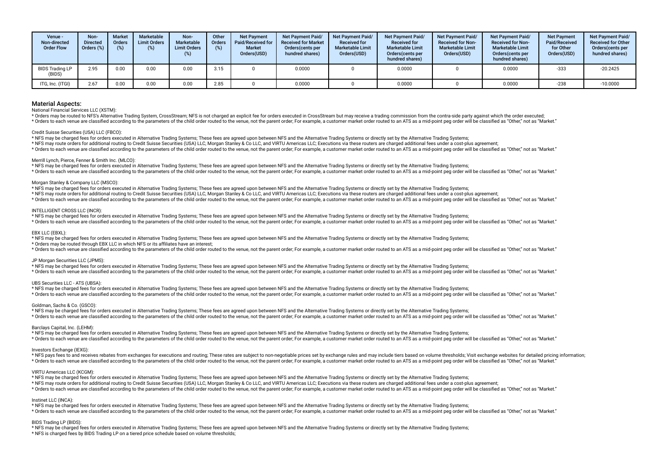| Venue -<br>Non-directed<br><b>Order Flow</b> | Non-<br><b>Directed</b><br>Orders $(\%)$ | <b>Market</b><br><b>Orders</b><br>(%) | Marketable<br><b>Limit Orders</b><br>(%) | Non-<br><b>Marketable</b><br><b>Limit Orders</b><br>$(\%)$ | Other<br><b>Orders</b> | <b>Net Payment</b><br>Paid/Received for<br><b>Market</b><br>Orders(USD) | <b>Net Payment Paid/</b><br><b>Received for Market</b><br>Orders (cents per<br>hundred shares) | <b>Net Payment Paid/</b><br><b>Received for</b><br><b>Marketable Limit</b><br>Orders(USD) | <b>Net Payment Paid/</b><br><b>Received for</b><br><b>Marketable Limit</b><br>Orders(cents per<br>hundred shares) | <b>Net Payment Paid/</b><br><b>Received for Non-</b><br><b>Marketable Limit</b><br>Orders(USD) | <b>Net Payment Paid/</b><br><b>Received for Non-</b><br><b>Marketable Limit</b><br>Orders(cents per<br>hundred shares) | <b>Net Payment</b><br>Paid/Received<br>for Other<br>Orders(USD) | Net Payment Paid/<br><b>Received for Other</b><br>Orders(cents per<br>hundred shares) |
|----------------------------------------------|------------------------------------------|---------------------------------------|------------------------------------------|------------------------------------------------------------|------------------------|-------------------------------------------------------------------------|------------------------------------------------------------------------------------------------|-------------------------------------------------------------------------------------------|-------------------------------------------------------------------------------------------------------------------|------------------------------------------------------------------------------------------------|------------------------------------------------------------------------------------------------------------------------|-----------------------------------------------------------------|---------------------------------------------------------------------------------------|
| <b>BIDS Trading LP</b><br>(BIDS)             | 2.95                                     | 0.00                                  | 0.00                                     | 0.00                                                       | 3.15                   |                                                                         | 0.0000                                                                                         |                                                                                           | 0.0000                                                                                                            |                                                                                                | 0.0000                                                                                                                 | $-333$                                                          | $-20.2425$                                                                            |
| ITG, Inc. (ITGI)                             | 2.67                                     | 0.00                                  | 0.00                                     | 0.00                                                       | 2.85                   |                                                                         | 0.0000                                                                                         |                                                                                           | 0.0000                                                                                                            |                                                                                                | 0.0000                                                                                                                 | $-238$                                                          | $-10.0000$                                                                            |

National Financial Services LLC (XSTM):

\* Orders may be routed to NFS's Alternative Trading System, CrossStream; NFS is not charged an explicit fee for orders executed in CrossStream but may receive a trading commission from the contra-side party against which t

\* Orders to each venue are classified according to the parameters of the child order routed to the venue, not the parent order. For example, a customer market order routed to an ATS as a mid-point peg order will be classif

#### Credit Suisse Securities (USA) LLC (FBCO):

\* NFS may be charged fees for orders executed in Alternative Trading Systems; These fees are agreed upon between NFS and the Alternative Trading Systems or directly set by the Alternative Trading Systems;

\* NFS may route orders for additional routing to Credit Suisse Securities (USA) LLC, Morgan Stanley & Co LLC, and VIRTU Americas LLC; Executions via these routers are charged additional fees under a cost-plus agreement;

\* Orders to each venue are classified according to the parameters of the child order routed to the venue, not the parent order; For example, a customer market order routed to an ATS as a mid-point peg order will be classif

#### Merrill Lynch, Pierce, Fenner & Smith Inc. (MLCO):

\* NFS may be charged fees for orders executed in Alternative Trading Systems; These fees are agreed upon between NFS and the Alternative Trading Systems or directly set by the Alternative Trading Systems;

\* Orders to each venue are classified according to the parameters of the child order routed to the venue, not the parent order. For example, a customer market order routed to an ATS as a mid-point peg order will be classif

#### Morgan Stanley & Company LLC (MSCO):

\* NFS may be charged fees for orders executed in Alternative Trading Systems; These fees are agreed upon between NFS and the Alternative Trading Systems or directly set by the Alternative Trading Systems;

\* NFS may route orders for additional routing to Credit Suisse Securities (USA) LLC, Morgan Stanley & Co LLC, and VIRTU Americas LLC; Executions via these routers are charged additional fees under a cost-plus agreement;

\* Orders to each venue are classified according to the parameters of the child order routed to the venue, not the parent order. For example, a customer market order routed to an ATS as a mid-point peg order will be classif

#### INTELLIGENT CROSS LLC (INCR):

\* NFS may be charged fees for orders executed in Alternative Trading Systems; These fees are agreed upon between NFS and the Alternative Trading Systems or directly set by the Alternative Trading Systems;

\* Orders to each venue are classified according to the parameters of the child order routed to the venue, not the parent order; For example, a customer market order routed to an ATS as a mid-point peg order will be classif

#### EBX LLC (EBXL):

\* NFS may be charged fees for orders executed in Alternative Trading Systems; These fees are agreed upon between NFS and the Alternative Trading Systems or directly set by the Alternative Trading Systems;

\* Orders may be routed through EBX LLC in which NFS or its affliates have an interest;

\* Orders to each venue are classified according to the parameters of the child order routed to the venue, not the parent order; For example, a customer market order routed to an ATS as a mid-point peq order will be classif

#### JP Morgan Securities LLC (JPMS):

\* NFS may be charged fees for orders executed in Alternative Trading Systems; These fees are agreed upon between NFS and the Alternative Trading Systems or directly set by the Alternative Trading Systems;

\* Orders to each venue are classified according to the parameters of the child order routed to the venue, not the parent order. For example, a customer market order routed to an ATS as a mid-point ped order will be classif

#### UBS Securities LLC - ATS (UBSA):

\* NFS may be charged fees for orders executed in Alternative Trading Systems; These fees are agreed upon between NFS and the Alternative Trading Systems or directly set by the Alternative Trading Systems; \* Orders to each venue are classified according to the parameters of the child order routed to the venue, not the parent order. For example, a customer market order routed to an ATS as a mid-point ped order will be classif

#### Goldman, Sachs & Co. (GSCO):

\* NFS may be charged fees for orders executed in Alternative Trading Systems; These fees are agreed upon between NFS and the Alternative Trading Systems or directly set by the Alternative Trading Systems; \* Orders to each venue are classified according to the parameters of the child order routed to the yenue not the narent order. For example a customer market order routed to an ATS as a mid-point neg order will be classifie

#### Barclays Capital, Inc. (LEHM):

\* NFS may be charged fees for orders executed in Alternative Trading Systems; These fees are agreed upon between NFS and the Alternative Trading Systems or directly set by the Alternative Trading Systems; \* Orders to each venue are classified according to the parameters of the child order routed to the venue, not the parent order; For example, a customer market order routed to an ATS as a mid-point peq order will be classif

#### Investors Exchange (IEXG)

\* NFS pays fees to and receives rebates from exchanges for executions and routing; These rates are subject to non-negotiable prices set by exchange rules and may include tiers based on volume thresholds; Visit exchange web \* Orders to each venue are classified according to the parameters of the child order routed to the venue, not the parent order. For example, a customer market order routed to an ATS as a mid-point peg order will be classif

#### VIRTU Americas LLC (KCGM):

\* NFS may be charged fees for orders executed in Alternative Trading Systems; These fees are agreed upon between NFS and the Alternative Trading Systems or directly set by the Alternative Trading Systems;

\* NFS may route orders for additional routing to Credit Suisse Securities (USA) LLC, Morgan Stanley & Co LLC, and VIRTU Americas LLC; Executions via these routers are charged additional fees under a cost-plus agreement;

reference to the contract of the child order puted to the venue and the parent order. For example a customer market order routed to an ATS as a mid-point peg order will be classified as "Other" not as "Narket".

#### Instinet LLC (INCA):

\* NFS may be charged fees for orders executed in Alternative Trading Systems; These fees are agreed upon between NFS and the Alternative Trading Systems or directly set by the Alternative Trading Systems; \* Orders to each venue are classified according to the parameters of the child order routed to the venue, not the parent order; For example, a customer market order routed to an ATS as a mid-point peq order will be classif

#### BIDS Trading LP (BIDS):

\* NFS may be charged fees for orders executed in Alternative Trading Systems; These fees are agreed upon between NFS and the Alternative Trading Systems or directly set by the Alternative Trading Systems; \* NFS is charged fees by BIDS Trading LP on a tiered price schedule based on volume thresholds;